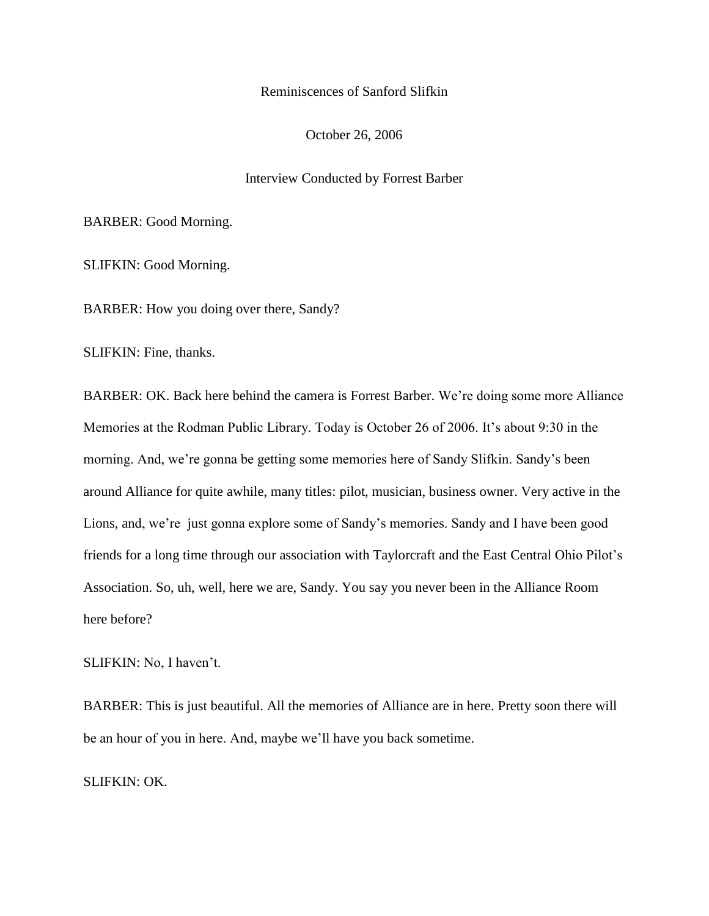## Reminiscences of Sanford Slifkin

#### October 26, 2006

# Interview Conducted by Forrest Barber

#### BARBER: Good Morning.

SLIFKIN: Good Morning.

BARBER: How you doing over there, Sandy?

SLIFKIN: Fine, thanks.

BARBER: OK. Back here behind the camera is Forrest Barber. We"re doing some more Alliance Memories at the Rodman Public Library. Today is October 26 of 2006. It's about 9:30 in the morning. And, we"re gonna be getting some memories here of Sandy Slifkin. Sandy"s been around Alliance for quite awhile, many titles: pilot, musician, business owner. Very active in the Lions, and, we're just gonna explore some of Sandy's memories. Sandy and I have been good friends for a long time through our association with Taylorcraft and the East Central Ohio Pilot"s Association. So, uh, well, here we are, Sandy. You say you never been in the Alliance Room here before?

SLIFKIN: No, I haven't.

BARBER: This is just beautiful. All the memories of Alliance are in here. Pretty soon there will be an hour of you in here. And, maybe we"ll have you back sometime.

SLIFKIN: OK.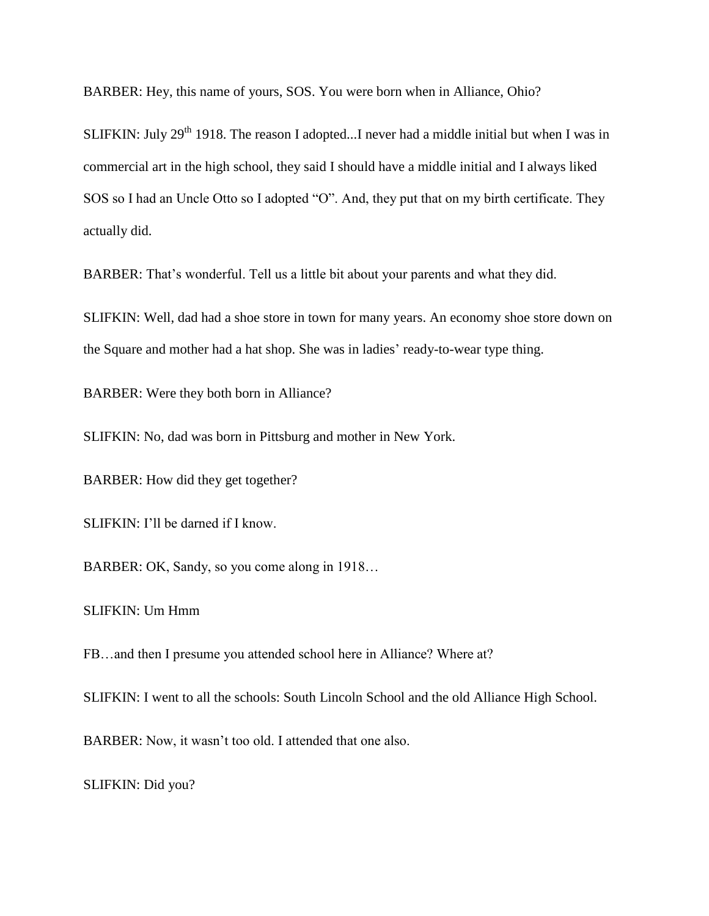BARBER: Hey, this name of yours, SOS. You were born when in Alliance, Ohio?

SLIFKIN: July 29<sup>th</sup> 1918. The reason I adopted...I never had a middle initial but when I was in commercial art in the high school, they said I should have a middle initial and I always liked SOS so I had an Uncle Otto so I adopted "O". And, they put that on my birth certificate. They actually did.

BARBER: That's wonderful. Tell us a little bit about your parents and what they did.

SLIFKIN: Well, dad had a shoe store in town for many years. An economy shoe store down on the Square and mother had a hat shop. She was in ladies' ready-to-wear type thing.

BARBER: Were they both born in Alliance?

SLIFKIN: No, dad was born in Pittsburg and mother in New York.

BARBER: How did they get together?

SLIFKIN: I"ll be darned if I know.

BARBER: OK, Sandy, so you come along in 1918…

SLIFKIN: Um Hmm

FB…and then I presume you attended school here in Alliance? Where at?

SLIFKIN: I went to all the schools: South Lincoln School and the old Alliance High School.

BARBER: Now, it wasn"t too old. I attended that one also.

SLIFKIN: Did you?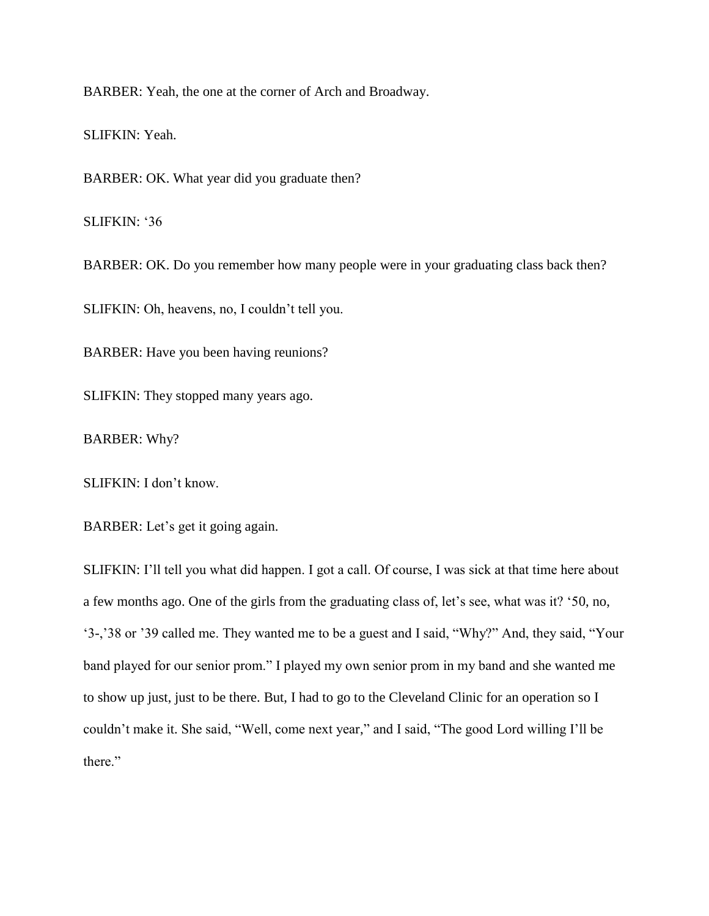BARBER: Yeah, the one at the corner of Arch and Broadway.

SLIFKIN: Yeah.

BARBER: OK. What year did you graduate then?

SLIFKIN: '36

BARBER: OK. Do you remember how many people were in your graduating class back then?

SLIFKIN: Oh, heavens, no, I couldn"t tell you.

BARBER: Have you been having reunions?

SLIFKIN: They stopped many years ago.

BARBER: Why?

SLIFKIN: I don"t know.

BARBER: Let's get it going again.

SLIFKIN: I'll tell you what did happen. I got a call. Of course, I was sick at that time here about a few months ago. One of the girls from the graduating class of, let"s see, what was it? "50, no, "3-,"38 or "39 called me. They wanted me to be a guest and I said, "Why?" And, they said, "Your band played for our senior prom." I played my own senior prom in my band and she wanted me to show up just, just to be there. But, I had to go to the Cleveland Clinic for an operation so I couldn"t make it. She said, "Well, come next year," and I said, "The good Lord willing I"ll be there."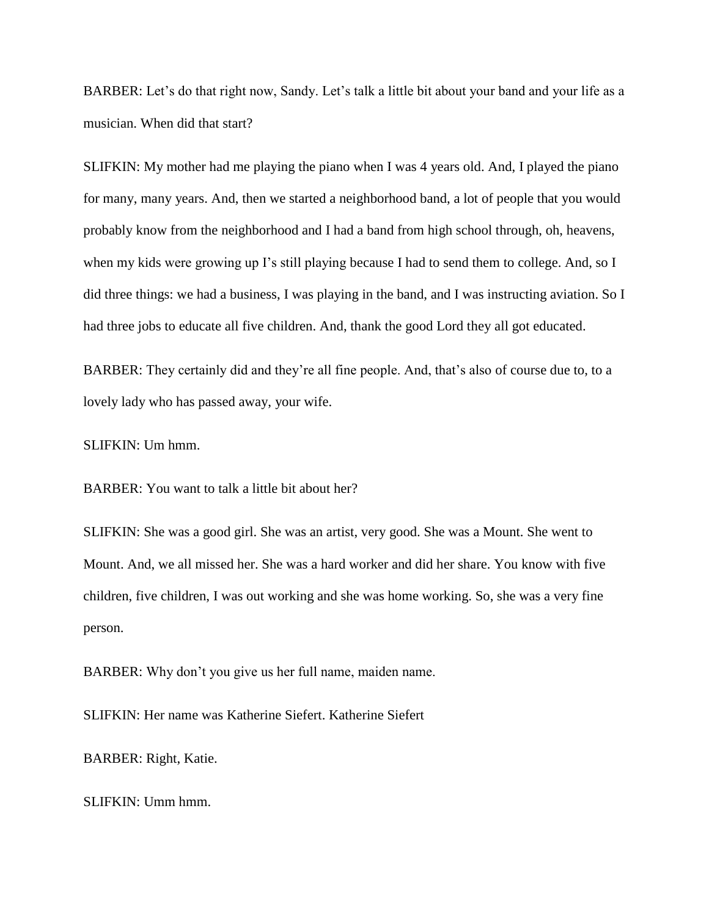BARBER: Let's do that right now, Sandy. Let's talk a little bit about your band and your life as a musician. When did that start?

SLIFKIN: My mother had me playing the piano when I was 4 years old. And, I played the piano for many, many years. And, then we started a neighborhood band, a lot of people that you would probably know from the neighborhood and I had a band from high school through, oh, heavens, when my kids were growing up I's still playing because I had to send them to college. And, so I did three things: we had a business, I was playing in the band, and I was instructing aviation. So I had three jobs to educate all five children. And, thank the good Lord they all got educated.

BARBER: They certainly did and they're all fine people. And, that's also of course due to, to a lovely lady who has passed away, your wife.

SLIFKIN: Um hmm.

BARBER: You want to talk a little bit about her?

SLIFKIN: She was a good girl. She was an artist, very good. She was a Mount. She went to Mount. And, we all missed her. She was a hard worker and did her share. You know with five children, five children, I was out working and she was home working. So, she was a very fine person.

BARBER: Why don't you give us her full name, maiden name.

SLIFKIN: Her name was Katherine Siefert. Katherine Siefert

BARBER: Right, Katie.

SLIFKIN: Umm hmm.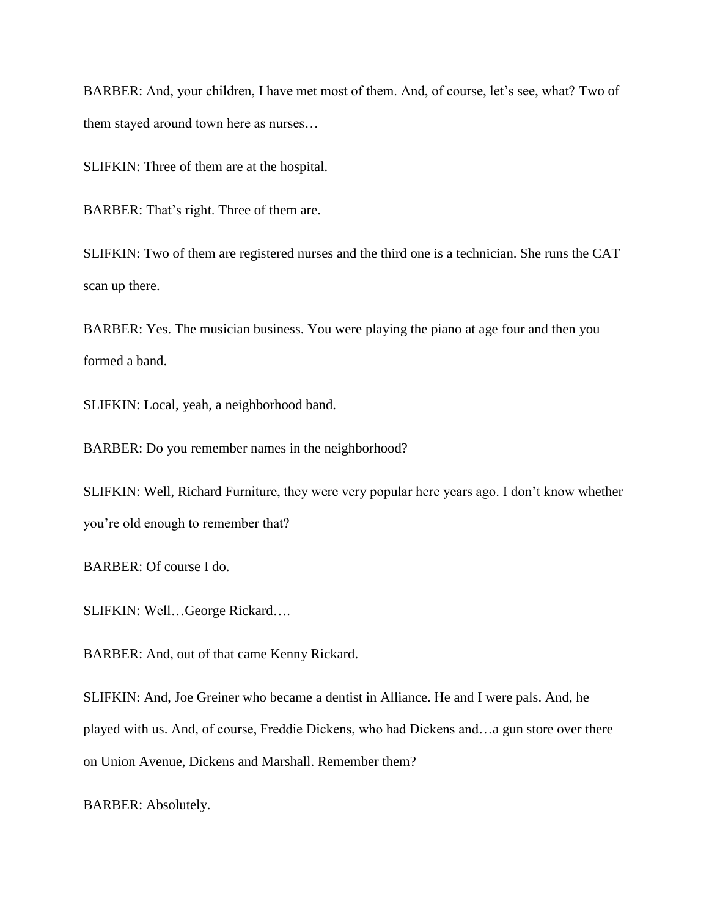BARBER: And, your children, I have met most of them. And, of course, let's see, what? Two of them stayed around town here as nurses…

SLIFKIN: Three of them are at the hospital.

BARBER: That's right. Three of them are.

SLIFKIN: Two of them are registered nurses and the third one is a technician. She runs the CAT scan up there.

BARBER: Yes. The musician business. You were playing the piano at age four and then you formed a band.

SLIFKIN: Local, yeah, a neighborhood band.

BARBER: Do you remember names in the neighborhood?

SLIFKIN: Well, Richard Furniture, they were very popular here years ago. I don"t know whether you"re old enough to remember that?

BARBER: Of course I do.

SLIFKIN: Well…George Rickard….

BARBER: And, out of that came Kenny Rickard.

SLIFKIN: And, Joe Greiner who became a dentist in Alliance. He and I were pals. And, he played with us. And, of course, Freddie Dickens, who had Dickens and…a gun store over there on Union Avenue, Dickens and Marshall. Remember them?

BARBER: Absolutely.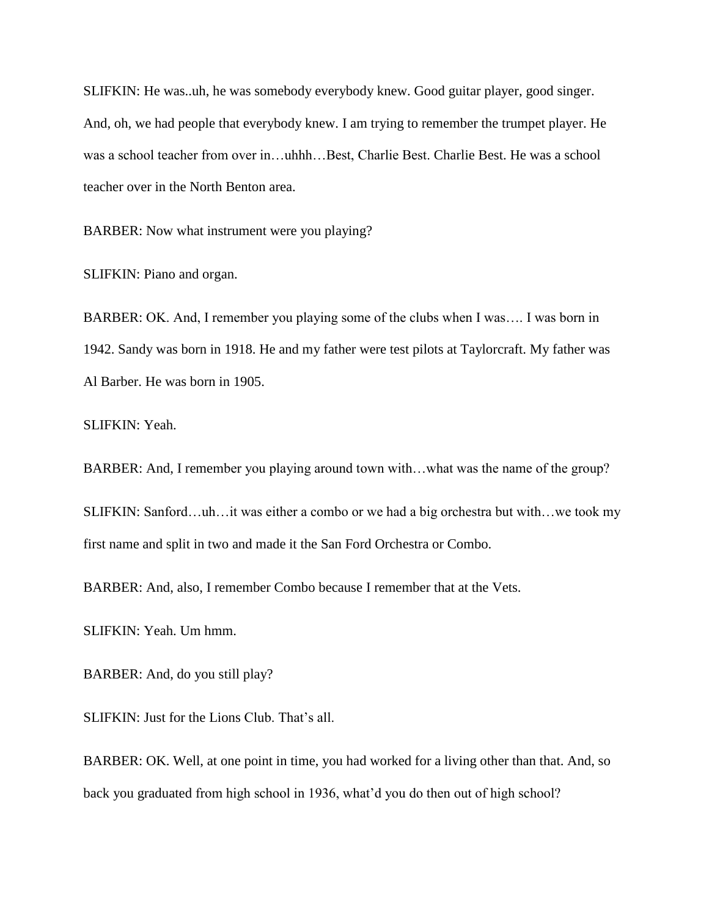SLIFKIN: He was..uh, he was somebody everybody knew. Good guitar player, good singer. And, oh, we had people that everybody knew. I am trying to remember the trumpet player. He was a school teacher from over in…uhhh…Best, Charlie Best. Charlie Best. He was a school teacher over in the North Benton area.

BARBER: Now what instrument were you playing?

SLIFKIN: Piano and organ.

BARBER: OK. And, I remember you playing some of the clubs when I was…. I was born in 1942. Sandy was born in 1918. He and my father were test pilots at Taylorcraft. My father was Al Barber. He was born in 1905.

SLIFKIN: Yeah.

BARBER: And, I remember you playing around town with…what was the name of the group?

SLIFKIN: Sanford…uh…it was either a combo or we had a big orchestra but with…we took my first name and split in two and made it the San Ford Orchestra or Combo.

BARBER: And, also, I remember Combo because I remember that at the Vets.

SLIFKIN: Yeah. Um hmm.

BARBER: And, do you still play?

SLIFKIN: Just for the Lions Club. That's all.

BARBER: OK. Well, at one point in time, you had worked for a living other than that. And, so back you graduated from high school in 1936, what"d you do then out of high school?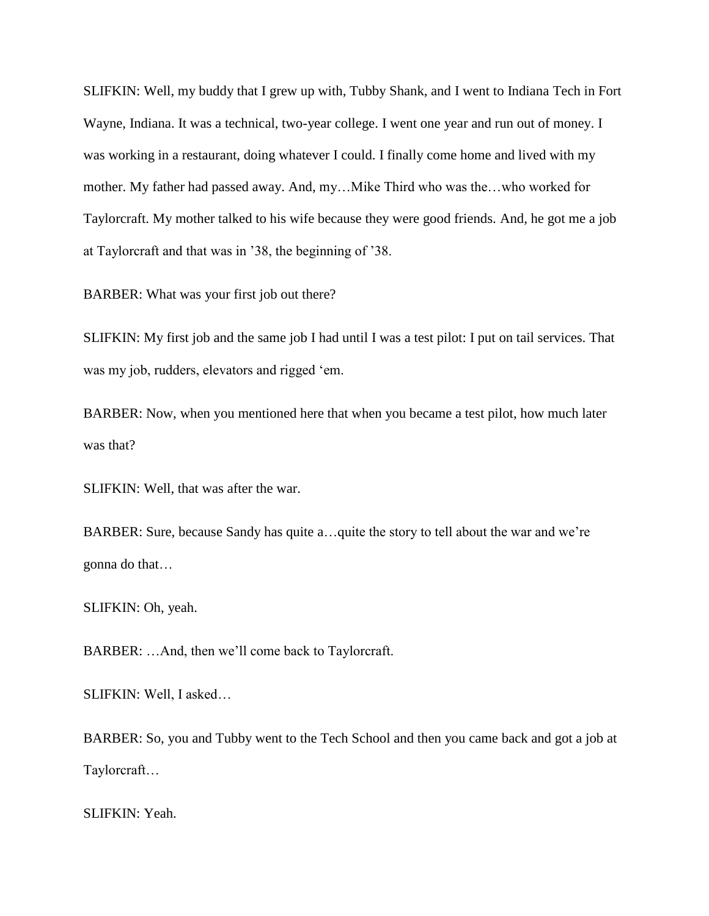SLIFKIN: Well, my buddy that I grew up with, Tubby Shank, and I went to Indiana Tech in Fort Wayne, Indiana. It was a technical, two-year college. I went one year and run out of money. I was working in a restaurant, doing whatever I could. I finally come home and lived with my mother. My father had passed away. And, my…Mike Third who was the…who worked for Taylorcraft. My mother talked to his wife because they were good friends. And, he got me a job at Taylorcraft and that was in "38, the beginning of "38.

BARBER: What was your first job out there?

SLIFKIN: My first job and the same job I had until I was a test pilot: I put on tail services. That was my job, rudders, elevators and rigged 'em.

BARBER: Now, when you mentioned here that when you became a test pilot, how much later was that?

SLIFKIN: Well, that was after the war.

BARBER: Sure, because Sandy has quite a...quite the story to tell about the war and we're gonna do that…

SLIFKIN: Oh, yeah.

BARBER: …And, then we"ll come back to Taylorcraft.

SLIFKIN: Well, I asked…

BARBER: So, you and Tubby went to the Tech School and then you came back and got a job at Taylorcraft…

SLIFKIN: Yeah.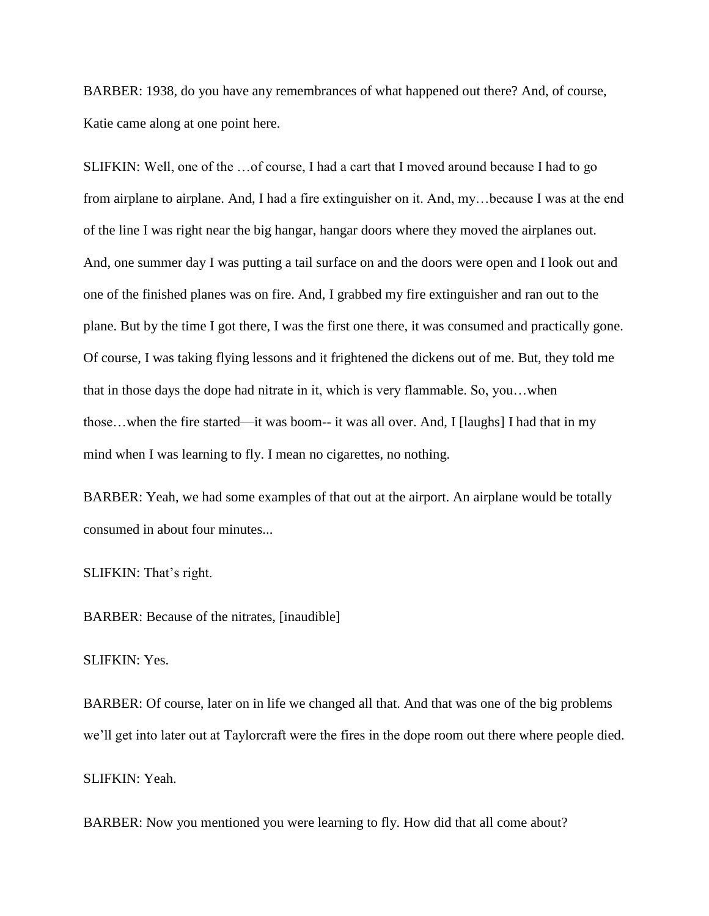BARBER: 1938, do you have any remembrances of what happened out there? And, of course, Katie came along at one point here.

SLIFKIN: Well, one of the …of course, I had a cart that I moved around because I had to go from airplane to airplane. And, I had a fire extinguisher on it. And, my…because I was at the end of the line I was right near the big hangar, hangar doors where they moved the airplanes out. And, one summer day I was putting a tail surface on and the doors were open and I look out and one of the finished planes was on fire. And, I grabbed my fire extinguisher and ran out to the plane. But by the time I got there, I was the first one there, it was consumed and practically gone. Of course, I was taking flying lessons and it frightened the dickens out of me. But, they told me that in those days the dope had nitrate in it, which is very flammable. So, you…when those…when the fire started—it was boom-- it was all over. And, I [laughs] I had that in my mind when I was learning to fly. I mean no cigarettes, no nothing.

BARBER: Yeah, we had some examples of that out at the airport. An airplane would be totally consumed in about four minutes...

SLIFKIN: That's right.

BARBER: Because of the nitrates, [inaudible]

SLIFKIN: Yes.

BARBER: Of course, later on in life we changed all that. And that was one of the big problems we"ll get into later out at Taylorcraft were the fires in the dope room out there where people died. SLIFKIN: Yeah.

BARBER: Now you mentioned you were learning to fly. How did that all come about?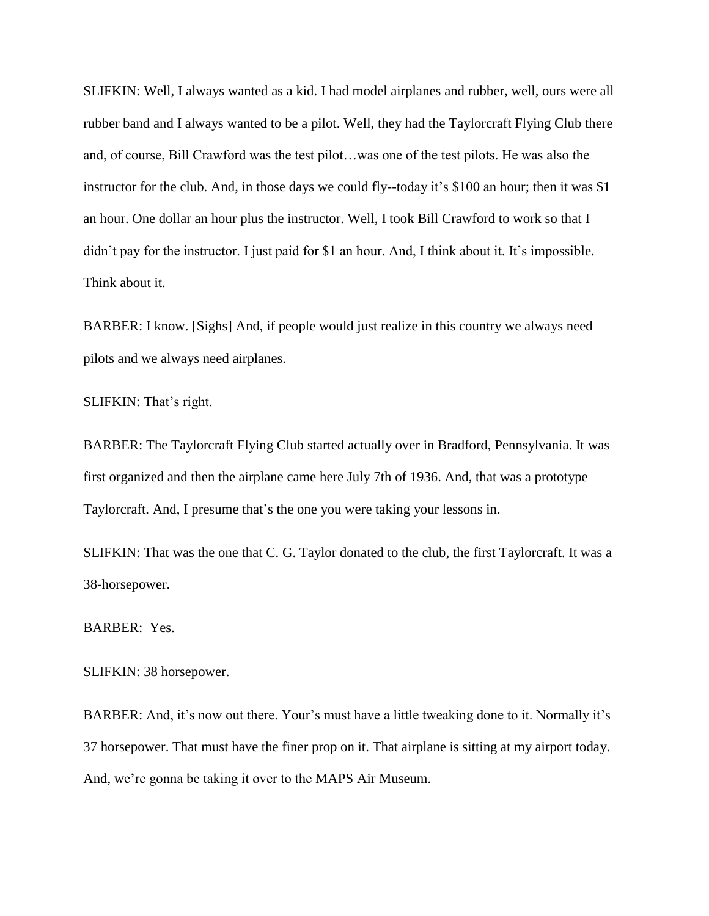SLIFKIN: Well, I always wanted as a kid. I had model airplanes and rubber, well, ours were all rubber band and I always wanted to be a pilot. Well, they had the Taylorcraft Flying Club there and, of course, Bill Crawford was the test pilot…was one of the test pilots. He was also the instructor for the club. And, in those days we could fly--today it's \$100 an hour; then it was \$1 an hour. One dollar an hour plus the instructor. Well, I took Bill Crawford to work so that I didn't pay for the instructor. I just paid for \$1 an hour. And, I think about it. It's impossible. Think about it.

BARBER: I know. [Sighs] And, if people would just realize in this country we always need pilots and we always need airplanes.

SLIFKIN: That's right.

BARBER: The Taylorcraft Flying Club started actually over in Bradford, Pennsylvania. It was first organized and then the airplane came here July 7th of 1936. And, that was a prototype Taylorcraft. And, I presume that"s the one you were taking your lessons in.

SLIFKIN: That was the one that C. G. Taylor donated to the club, the first Taylorcraft. It was a 38-horsepower.

BARBER: Yes.

SLIFKIN: 38 horsepower.

BARBER: And, it's now out there. Your's must have a little tweaking done to it. Normally it's 37 horsepower. That must have the finer prop on it. That airplane is sitting at my airport today. And, we"re gonna be taking it over to the MAPS Air Museum.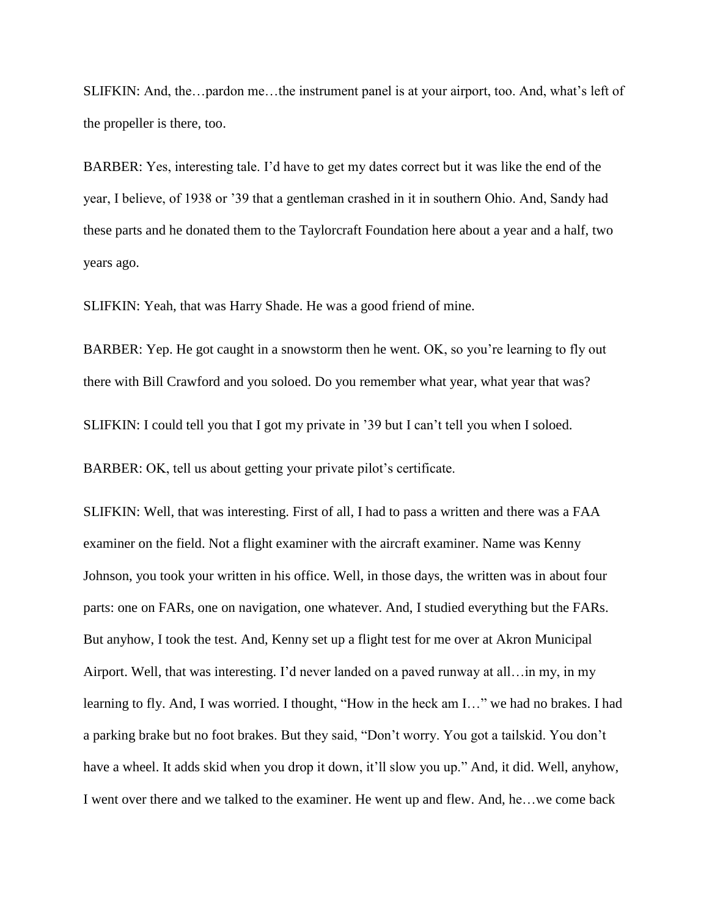SLIFKIN: And, the…pardon me…the instrument panel is at your airport, too. And, what"s left of the propeller is there, too.

BARBER: Yes, interesting tale. I"d have to get my dates correct but it was like the end of the year, I believe, of 1938 or "39 that a gentleman crashed in it in southern Ohio. And, Sandy had these parts and he donated them to the Taylorcraft Foundation here about a year and a half, two years ago.

SLIFKIN: Yeah, that was Harry Shade. He was a good friend of mine.

BARBER: Yep. He got caught in a snowstorm then he went. OK, so you're learning to fly out there with Bill Crawford and you soloed. Do you remember what year, what year that was?

SLIFKIN: I could tell you that I got my private in "39 but I can"t tell you when I soloed.

BARBER: OK, tell us about getting your private pilot's certificate.

SLIFKIN: Well, that was interesting. First of all, I had to pass a written and there was a FAA examiner on the field. Not a flight examiner with the aircraft examiner. Name was Kenny Johnson, you took your written in his office. Well, in those days, the written was in about four parts: one on FARs, one on navigation, one whatever. And, I studied everything but the FARs. But anyhow, I took the test. And, Kenny set up a flight test for me over at Akron Municipal Airport. Well, that was interesting. I"d never landed on a paved runway at all…in my, in my learning to fly. And, I was worried. I thought, "How in the heck am I…" we had no brakes. I had a parking brake but no foot brakes. But they said, "Don"t worry. You got a tailskid. You don"t have a wheel. It adds skid when you drop it down, it'll slow you up." And, it did. Well, anyhow, I went over there and we talked to the examiner. He went up and flew. And, he…we come back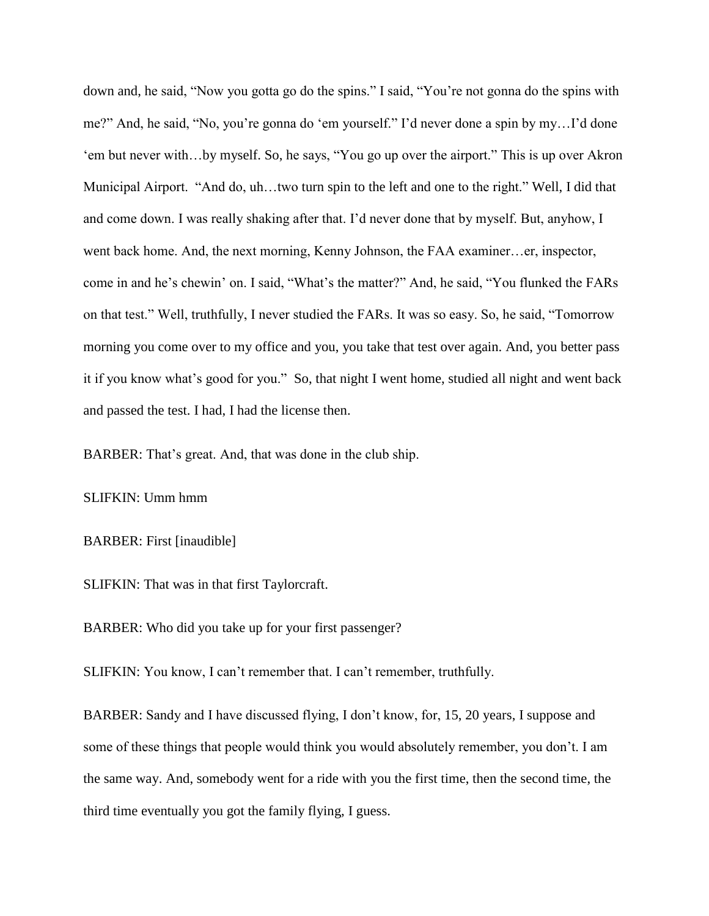down and, he said, "Now you gotta go do the spins." I said, "You"re not gonna do the spins with me?" And, he said, "No, you"re gonna do "em yourself." I"d never done a spin by my…I"d done 'em but never with...by myself. So, he says, "You go up over the airport." This is up over Akron Municipal Airport. "And do, uh…two turn spin to the left and one to the right." Well, I did that and come down. I was really shaking after that. I"d never done that by myself. But, anyhow, I went back home. And, the next morning, Kenny Johnson, the FAA examiner…er, inspector, come in and he's chewin' on. I said, "What's the matter?" And, he said, "You flunked the FARs on that test." Well, truthfully, I never studied the FARs. It was so easy. So, he said, "Tomorrow morning you come over to my office and you, you take that test over again. And, you better pass it if you know what's good for you." So, that night I went home, studied all night and went back and passed the test. I had, I had the license then.

BARBER: That's great. And, that was done in the club ship.

SLIFKIN: Umm hmm

BARBER: First [inaudible]

SLIFKIN: That was in that first Taylorcraft.

BARBER: Who did you take up for your first passenger?

SLIFKIN: You know, I can't remember that. I can't remember, truthfully.

BARBER: Sandy and I have discussed flying, I don"t know, for, 15, 20 years, I suppose and some of these things that people would think you would absolutely remember, you don't. I am the same way. And, somebody went for a ride with you the first time, then the second time, the third time eventually you got the family flying, I guess.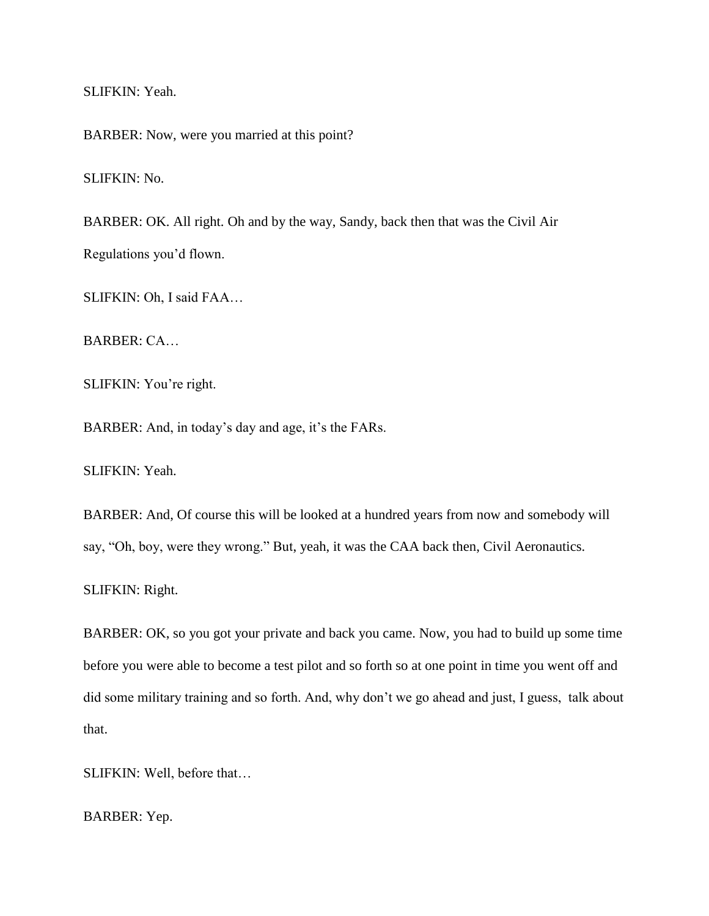SLIFKIN: Yeah.

BARBER: Now, were you married at this point?

SLIFKIN: No.

BARBER: OK. All right. Oh and by the way, Sandy, back then that was the Civil Air Regulations you"d flown.

SLIFKIN: Oh, I said FAA…

BARBER: CA…

SLIFKIN: You're right.

BARBER: And, in today's day and age, it's the FARs.

SLIFKIN: Yeah.

BARBER: And, Of course this will be looked at a hundred years from now and somebody will say, "Oh, boy, were they wrong." But, yeah, it was the CAA back then, Civil Aeronautics.

SLIFKIN: Right.

BARBER: OK, so you got your private and back you came. Now, you had to build up some time before you were able to become a test pilot and so forth so at one point in time you went off and did some military training and so forth. And, why don"t we go ahead and just, I guess, talk about that.

SLIFKIN: Well, before that…

BARBER: Yep.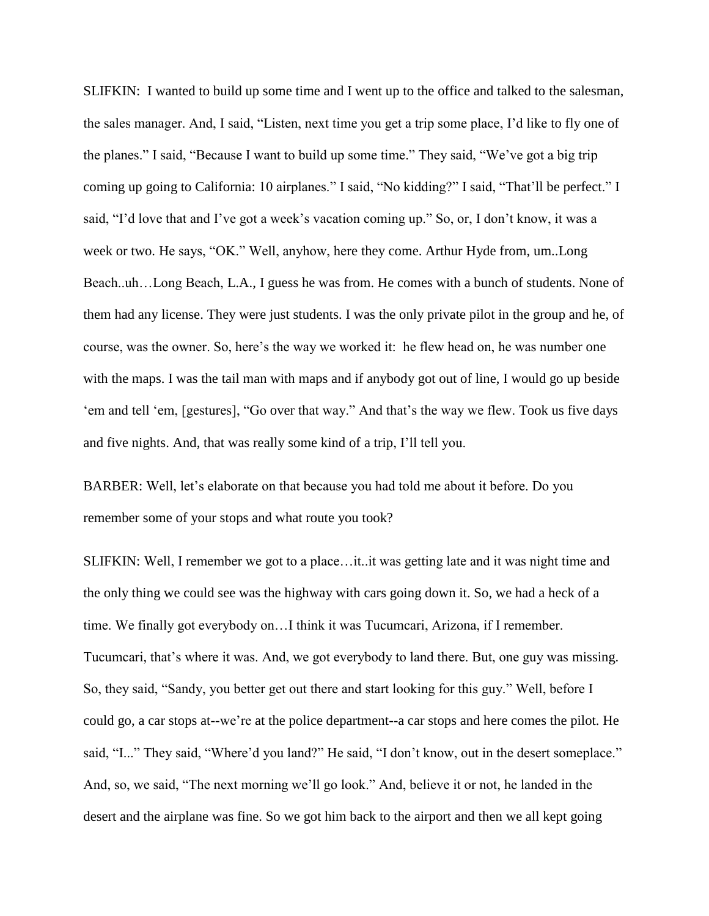SLIFKIN: I wanted to build up some time and I went up to the office and talked to the salesman, the sales manager. And, I said, "Listen, next time you get a trip some place, I"d like to fly one of the planes." I said, "Because I want to build up some time." They said, "We"ve got a big trip coming up going to California: 10 airplanes." I said, "No kidding?" I said, "That"ll be perfect." I said, "I'd love that and I've got a week's vacation coming up." So, or, I don't know, it was a week or two. He says, "OK." Well, anyhow, here they come. Arthur Hyde from, um..Long Beach..uh…Long Beach, L.A., I guess he was from. He comes with a bunch of students. None of them had any license. They were just students. I was the only private pilot in the group and he, of course, was the owner. So, here"s the way we worked it: he flew head on, he was number one with the maps. I was the tail man with maps and if anybody got out of line, I would go up beside 'em and tell 'em, [gestures], "Go over that way." And that's the way we flew. Took us five days and five nights. And, that was really some kind of a trip, I"ll tell you.

BARBER: Well, let's elaborate on that because you had told me about it before. Do you remember some of your stops and what route you took?

SLIFKIN: Well, I remember we got to a place…it..it was getting late and it was night time and the only thing we could see was the highway with cars going down it. So, we had a heck of a time. We finally got everybody on…I think it was Tucumcari, Arizona, if I remember. Tucumcari, that"s where it was. And, we got everybody to land there. But, one guy was missing. So, they said, "Sandy, you better get out there and start looking for this guy." Well, before I could go, a car stops at--we"re at the police department--a car stops and here comes the pilot. He said, "I..." They said, "Where'd you land?" He said, "I don't know, out in the desert someplace." And, so, we said, "The next morning we"ll go look." And, believe it or not, he landed in the desert and the airplane was fine. So we got him back to the airport and then we all kept going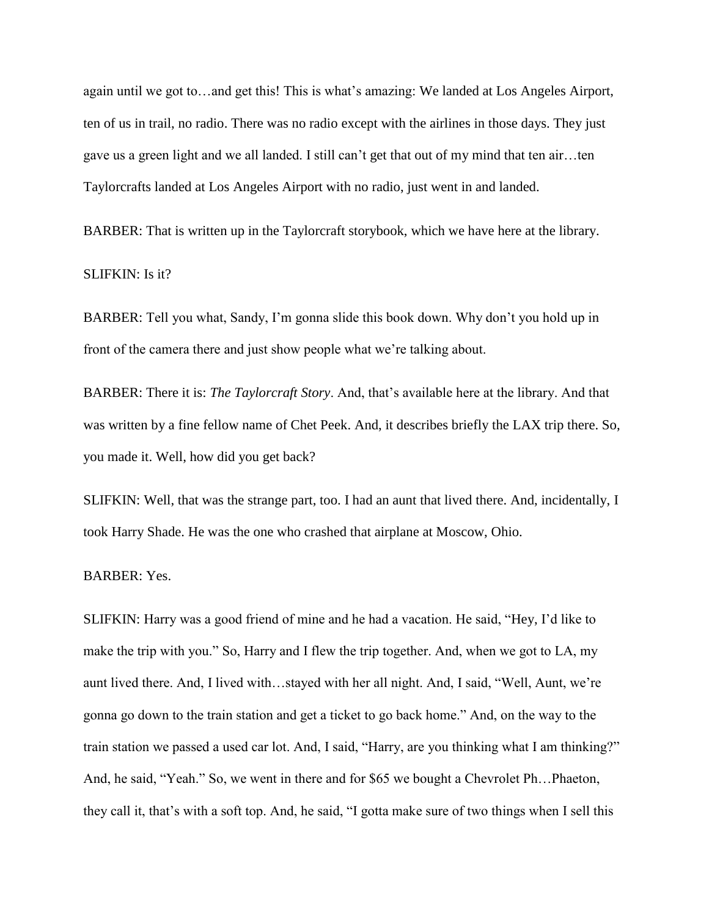again until we got to…and get this! This is what's amazing: We landed at Los Angeles Airport, ten of us in trail, no radio. There was no radio except with the airlines in those days. They just gave us a green light and we all landed. I still can"t get that out of my mind that ten air…ten Taylorcrafts landed at Los Angeles Airport with no radio, just went in and landed.

BARBER: That is written up in the Taylorcraft storybook, which we have here at the library.

SLIFKIN: Is it?

BARBER: Tell you what, Sandy, I'm gonna slide this book down. Why don't you hold up in front of the camera there and just show people what we're talking about.

BARBER: There it is: *The Taylorcraft Story*. And, that"s available here at the library. And that was written by a fine fellow name of Chet Peek. And, it describes briefly the LAX trip there. So, you made it. Well, how did you get back?

SLIFKIN: Well, that was the strange part, too. I had an aunt that lived there. And, incidentally, I took Harry Shade. He was the one who crashed that airplane at Moscow, Ohio.

BARBER: Yes.

SLIFKIN: Harry was a good friend of mine and he had a vacation. He said, "Hey, I"d like to make the trip with you." So, Harry and I flew the trip together. And, when we got to LA, my aunt lived there. And, I lived with…stayed with her all night. And, I said, "Well, Aunt, we"re gonna go down to the train station and get a ticket to go back home." And, on the way to the train station we passed a used car lot. And, I said, "Harry, are you thinking what I am thinking?" And, he said, "Yeah." So, we went in there and for \$65 we bought a Chevrolet Ph…Phaeton, they call it, that"s with a soft top. And, he said, "I gotta make sure of two things when I sell this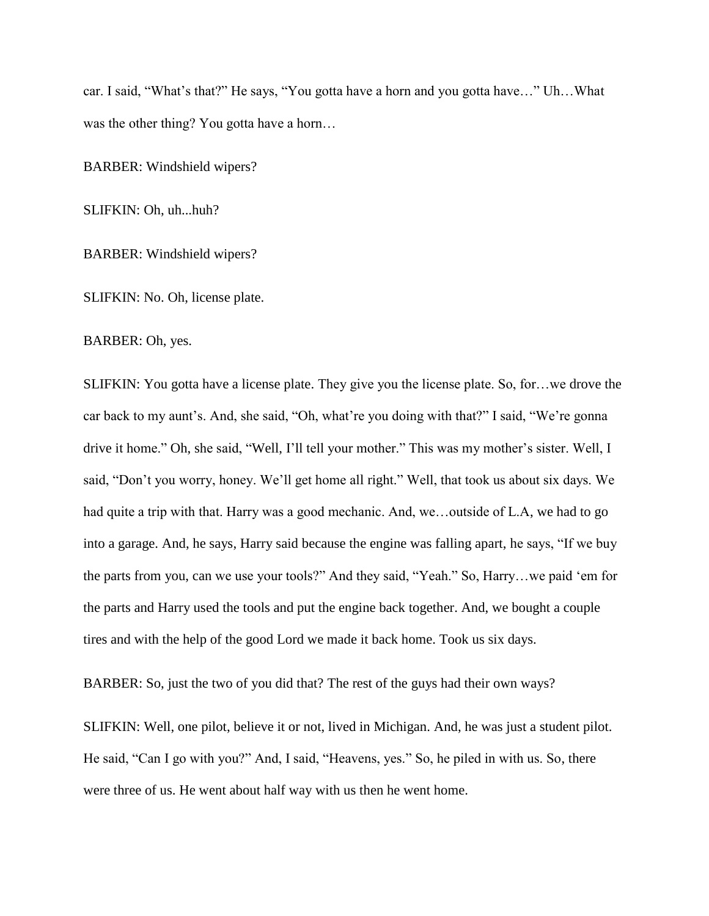car. I said, "What's that?" He says, "You gotta have a horn and you gotta have..." Uh...What was the other thing? You gotta have a horn...

BARBER: Windshield wipers?

SLIFKIN: Oh, uh...huh?

BARBER: Windshield wipers?

SLIFKIN: No. Oh, license plate.

BARBER: Oh, yes.

SLIFKIN: You gotta have a license plate. They give you the license plate. So, for…we drove the car back to my aunt's. And, she said, "Oh, what're you doing with that?" I said, "We're gonna drive it home." Oh, she said, "Well, I'll tell your mother." This was my mother's sister. Well, I said, "Don"t you worry, honey. We"ll get home all right." Well, that took us about six days. We had quite a trip with that. Harry was a good mechanic. And, we...outside of L.A, we had to go into a garage. And, he says, Harry said because the engine was falling apart, he says, "If we buy the parts from you, can we use your tools?" And they said, "Yeah." So, Harry…we paid "em for the parts and Harry used the tools and put the engine back together. And, we bought a couple tires and with the help of the good Lord we made it back home. Took us six days.

BARBER: So, just the two of you did that? The rest of the guys had their own ways?

SLIFKIN: Well, one pilot, believe it or not, lived in Michigan. And, he was just a student pilot. He said, "Can I go with you?" And, I said, "Heavens, yes." So, he piled in with us. So, there were three of us. He went about half way with us then he went home.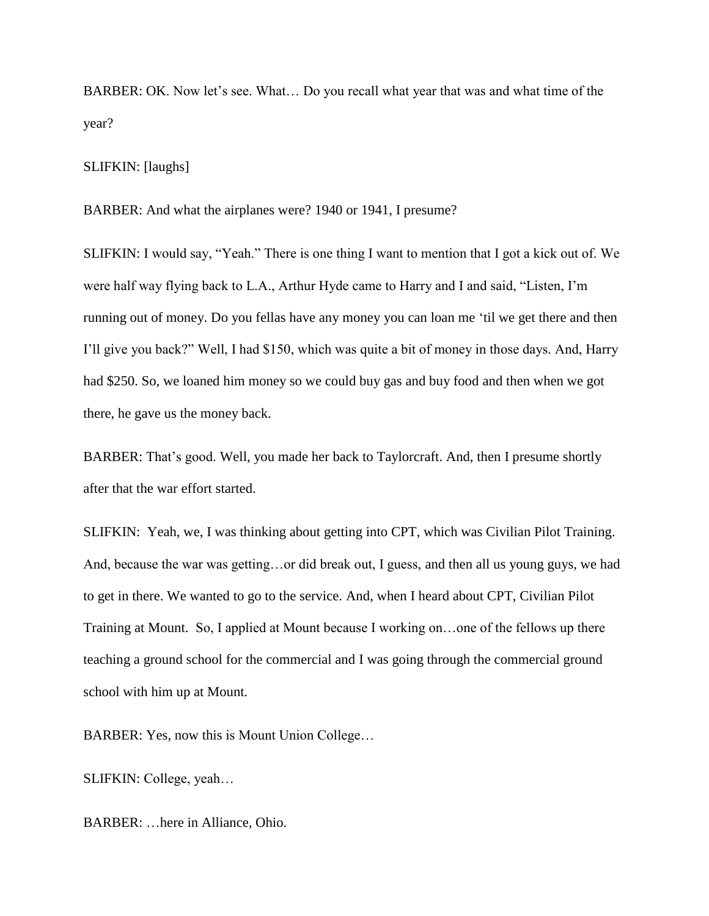BARBER: OK. Now let's see. What... Do you recall what year that was and what time of the year?

#### SLIFKIN: [laughs]

BARBER: And what the airplanes were? 1940 or 1941, I presume?

SLIFKIN: I would say, "Yeah." There is one thing I want to mention that I got a kick out of. We were half way flying back to L.A., Arthur Hyde came to Harry and I and said, "Listen, I"m running out of money. Do you fellas have any money you can loan me "til we get there and then I"ll give you back?" Well, I had \$150, which was quite a bit of money in those days. And, Harry had \$250. So, we loaned him money so we could buy gas and buy food and then when we got there, he gave us the money back.

BARBER: That's good. Well, you made her back to Taylorcraft. And, then I presume shortly after that the war effort started.

SLIFKIN: Yeah, we, I was thinking about getting into CPT, which was Civilian Pilot Training. And, because the war was getting…or did break out, I guess, and then all us young guys, we had to get in there. We wanted to go to the service. And, when I heard about CPT, Civilian Pilot Training at Mount. So, I applied at Mount because I working on…one of the fellows up there teaching a ground school for the commercial and I was going through the commercial ground school with him up at Mount.

BARBER: Yes, now this is Mount Union College…

SLIFKIN: College, yeah…

BARBER: …here in Alliance, Ohio.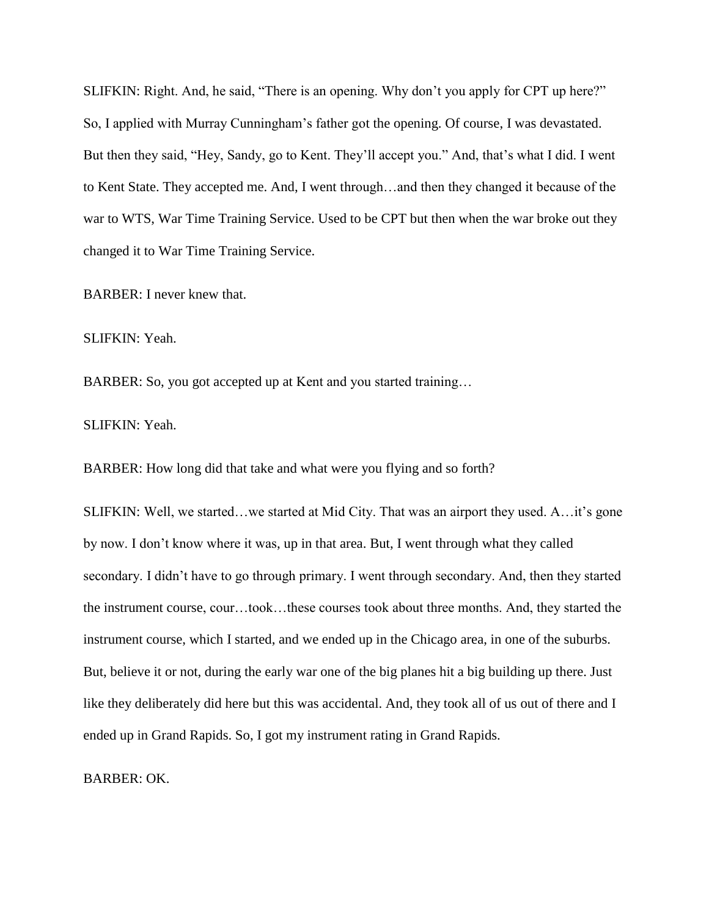SLIFKIN: Right. And, he said, "There is an opening. Why don't you apply for CPT up here?" So, I applied with Murray Cunningham"s father got the opening. Of course, I was devastated. But then they said, "Hey, Sandy, go to Kent. They'll accept you." And, that's what I did. I went to Kent State. They accepted me. And, I went through…and then they changed it because of the war to WTS, War Time Training Service. Used to be CPT but then when the war broke out they changed it to War Time Training Service.

BARBER: I never knew that.

SLIFKIN: Yeah.

BARBER: So, you got accepted up at Kent and you started training…

SLIFKIN: Yeah.

BARBER: How long did that take and what were you flying and so forth?

SLIFKIN: Well, we started…we started at Mid City. That was an airport they used. A…it's gone by now. I don"t know where it was, up in that area. But, I went through what they called secondary. I didn"t have to go through primary. I went through secondary. And, then they started the instrument course, cour…took…these courses took about three months. And, they started the instrument course, which I started, and we ended up in the Chicago area, in one of the suburbs. But, believe it or not, during the early war one of the big planes hit a big building up there. Just like they deliberately did here but this was accidental. And, they took all of us out of there and I ended up in Grand Rapids. So, I got my instrument rating in Grand Rapids.

BARBER: OK.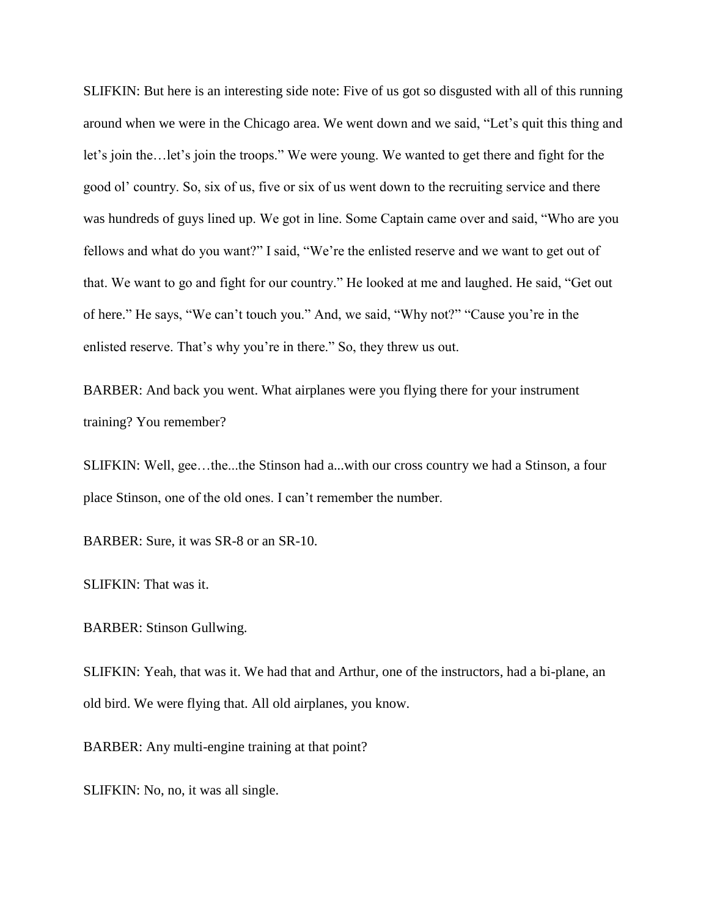SLIFKIN: But here is an interesting side note: Five of us got so disgusted with all of this running around when we were in the Chicago area. We went down and we said, "Let's quit this thing and let's join the…let's join the troops." We were young. We wanted to get there and fight for the good ol" country. So, six of us, five or six of us went down to the recruiting service and there was hundreds of guys lined up. We got in line. Some Captain came over and said, "Who are you fellows and what do you want?" I said, "We"re the enlisted reserve and we want to get out of that. We want to go and fight for our country." He looked at me and laughed. He said, "Get out of here." He says, "We can"t touch you." And, we said, "Why not?" "Cause you"re in the enlisted reserve. That's why you're in there." So, they threw us out.

BARBER: And back you went. What airplanes were you flying there for your instrument training? You remember?

SLIFKIN: Well, gee…the...the Stinson had a...with our cross country we had a Stinson, a four place Stinson, one of the old ones. I can"t remember the number.

BARBER: Sure, it was SR-8 or an SR-10.

SLIFKIN: That was it.

BARBER: Stinson Gullwing.

SLIFKIN: Yeah, that was it. We had that and Arthur, one of the instructors, had a bi-plane, an old bird. We were flying that. All old airplanes, you know.

BARBER: Any multi-engine training at that point?

SLIFKIN: No, no, it was all single.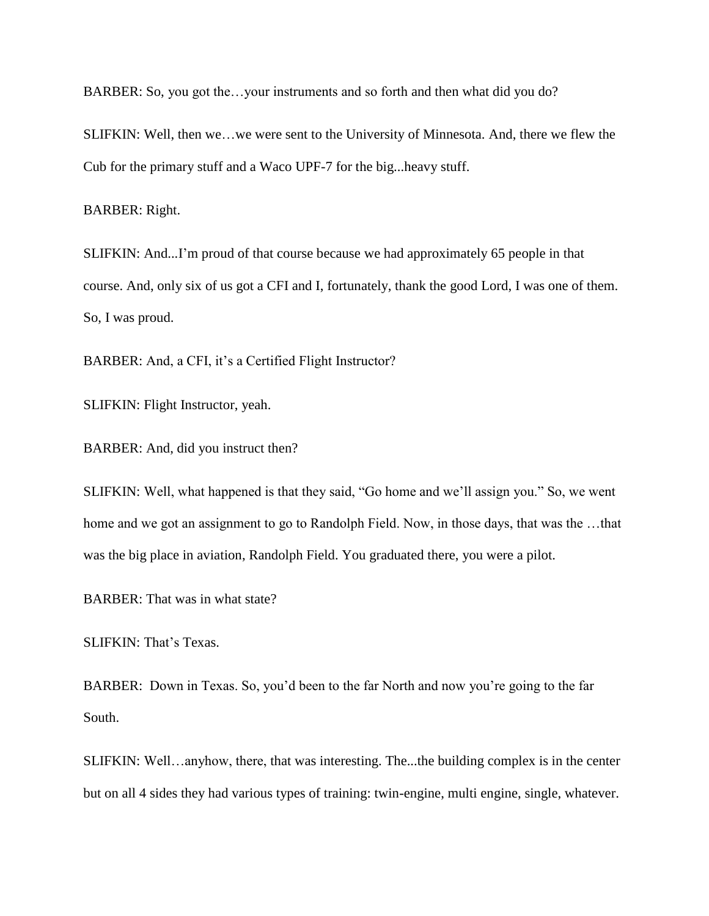BARBER: So, you got the…your instruments and so forth and then what did you do?

SLIFKIN: Well, then we…we were sent to the University of Minnesota. And, there we flew the Cub for the primary stuff and a Waco UPF-7 for the big...heavy stuff.

BARBER: Right.

SLIFKIN: And...I"m proud of that course because we had approximately 65 people in that course. And, only six of us got a CFI and I, fortunately, thank the good Lord, I was one of them. So, I was proud.

BARBER: And, a CFI, it's a Certified Flight Instructor?

SLIFKIN: Flight Instructor, yeah.

BARBER: And, did you instruct then?

SLIFKIN: Well, what happened is that they said, "Go home and we"ll assign you." So, we went home and we got an assignment to go to Randolph Field. Now, in those days, that was the ...that was the big place in aviation, Randolph Field. You graduated there, you were a pilot.

BARBER: That was in what state?

SLIFKIN: That's Texas.

BARBER: Down in Texas. So, you"d been to the far North and now you"re going to the far South.

SLIFKIN: Well…anyhow, there, that was interesting. The...the building complex is in the center but on all 4 sides they had various types of training: twin-engine, multi engine, single, whatever.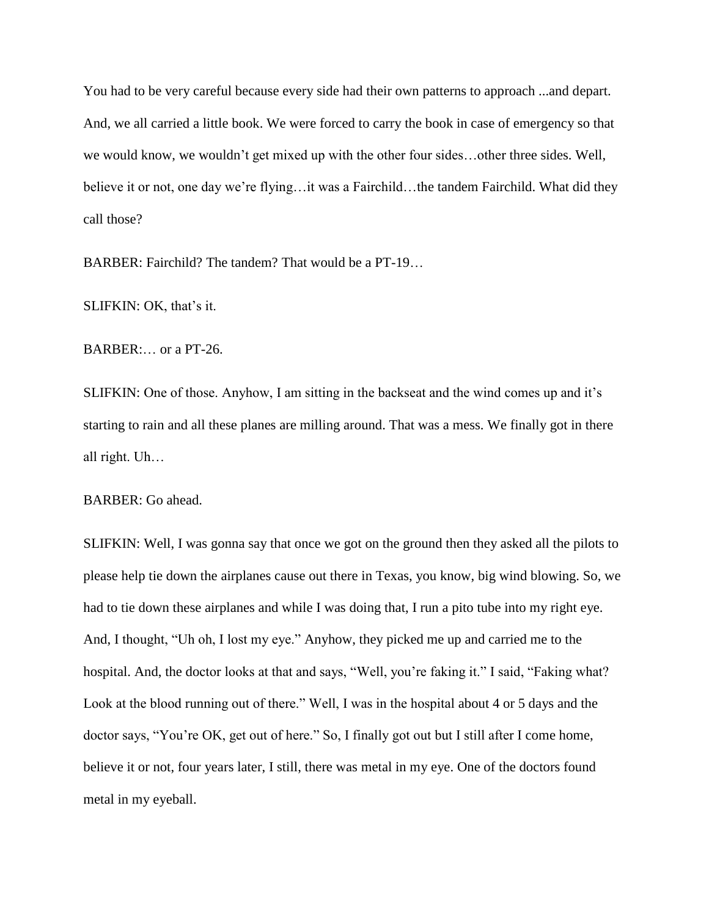You had to be very careful because every side had their own patterns to approach ...and depart. And, we all carried a little book. We were forced to carry the book in case of emergency so that we would know, we wouldn"t get mixed up with the other four sides…other three sides. Well, believe it or not, one day we're flying...it was a Fairchild...the tandem Fairchild. What did they call those?

BARBER: Fairchild? The tandem? That would be a PT-19…

SLIFKIN: OK, that's it.

BARBER:… or a PT-26.

SLIFKIN: One of those. Anyhow, I am sitting in the backseat and the wind comes up and it's starting to rain and all these planes are milling around. That was a mess. We finally got in there all right. Uh…

BARBER: Go ahead.

SLIFKIN: Well, I was gonna say that once we got on the ground then they asked all the pilots to please help tie down the airplanes cause out there in Texas, you know, big wind blowing. So, we had to tie down these airplanes and while I was doing that, I run a pito tube into my right eye. And, I thought, "Uh oh, I lost my eye." Anyhow, they picked me up and carried me to the hospital. And, the doctor looks at that and says, "Well, you're faking it." I said, "Faking what? Look at the blood running out of there." Well, I was in the hospital about 4 or 5 days and the doctor says, "You"re OK, get out of here." So, I finally got out but I still after I come home, believe it or not, four years later, I still, there was metal in my eye. One of the doctors found metal in my eyeball.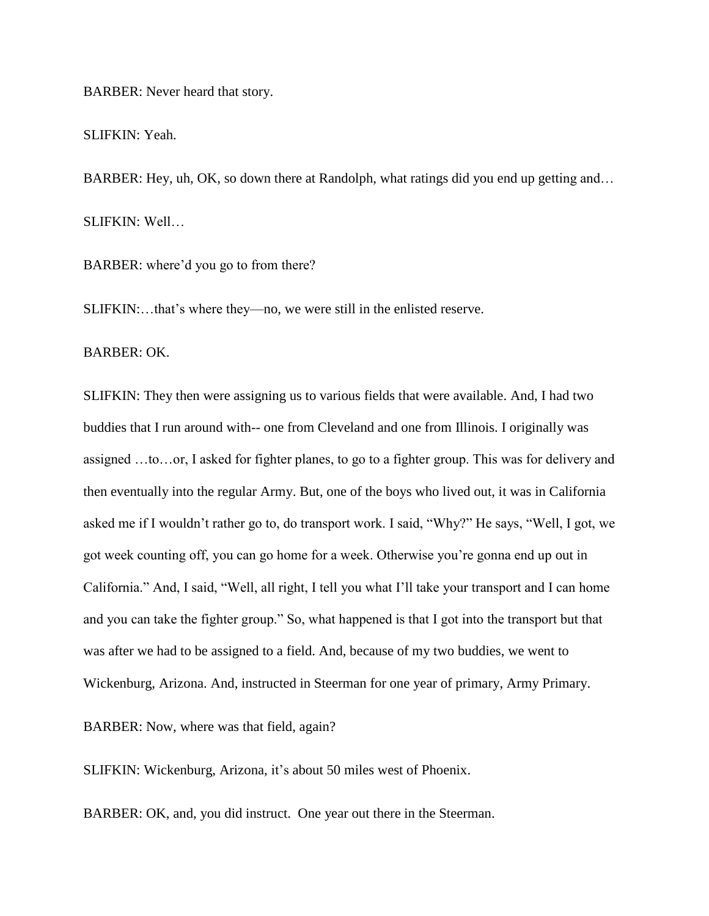BARBER: Never heard that story.

SLIFKIN: Yeah.

BARBER: Hey, uh, OK, so down there at Randolph, what ratings did you end up getting and... SLIFKIN: Well…

BARBER: where'd you go to from there?

SLIFKIN:...that's where they—no, we were still in the enlisted reserve.

BARBER: OK.

SLIFKIN: They then were assigning us to various fields that were available. And, I had two buddies that I run around with-- one from Cleveland and one from Illinois. I originally was assigned …to…or, I asked for fighter planes, to go to a fighter group. This was for delivery and then eventually into the regular Army. But, one of the boys who lived out, it was in California asked me if I wouldn"t rather go to, do transport work. I said, "Why?" He says, "Well, I got, we got week counting off, you can go home for a week. Otherwise you"re gonna end up out in California." And, I said, "Well, all right, I tell you what I"ll take your transport and I can home and you can take the fighter group." So, what happened is that I got into the transport but that was after we had to be assigned to a field. And, because of my two buddies, we went to Wickenburg, Arizona. And, instructed in Steerman for one year of primary, Army Primary.

BARBER: Now, where was that field, again?

SLIFKIN: Wickenburg, Arizona, it's about 50 miles west of Phoenix.

BARBER: OK, and, you did instruct. One year out there in the Steerman.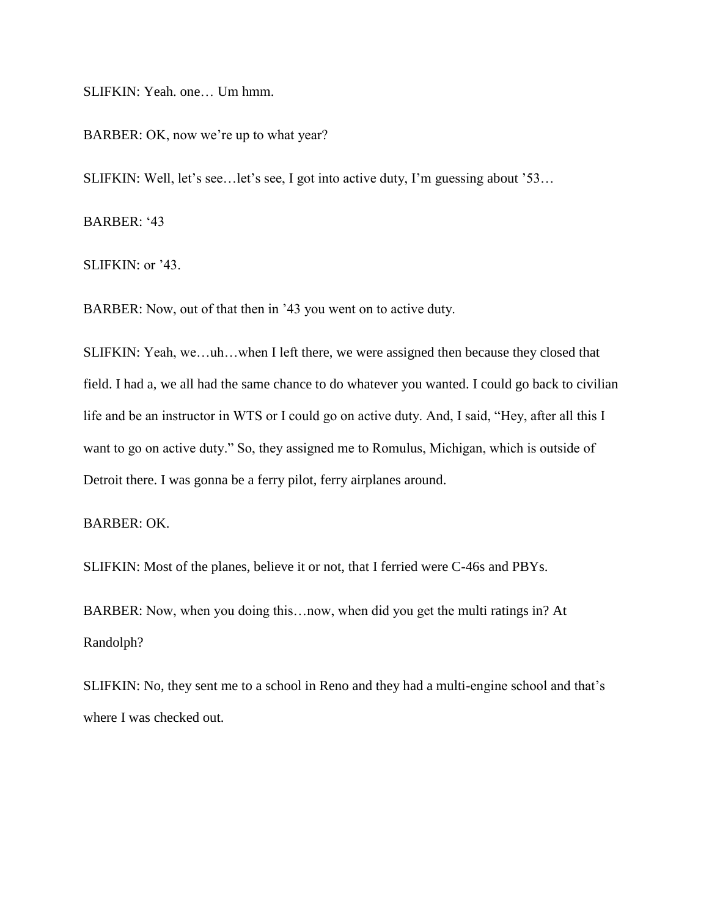SLIFKIN: Yeah. one… Um hmm.

BARBER: OK, now we're up to what year?

SLIFKIN: Well, let's see... let's see, I got into active duty, I'm guessing about '53...

BARBER: '43

SLIFKIN: or  $3$ .

BARBER: Now, out of that then in "43 you went on to active duty.

SLIFKIN: Yeah, we…uh…when I left there, we were assigned then because they closed that field. I had a, we all had the same chance to do whatever you wanted. I could go back to civilian life and be an instructor in WTS or I could go on active duty. And, I said, "Hey, after all this I want to go on active duty." So, they assigned me to Romulus, Michigan, which is outside of Detroit there. I was gonna be a ferry pilot, ferry airplanes around.

# BARBER: OK.

SLIFKIN: Most of the planes, believe it or not, that I ferried were C-46s and PBYs.

BARBER: Now, when you doing this…now, when did you get the multi ratings in? At Randolph?

SLIFKIN: No, they sent me to a school in Reno and they had a multi-engine school and that"s where I was checked out.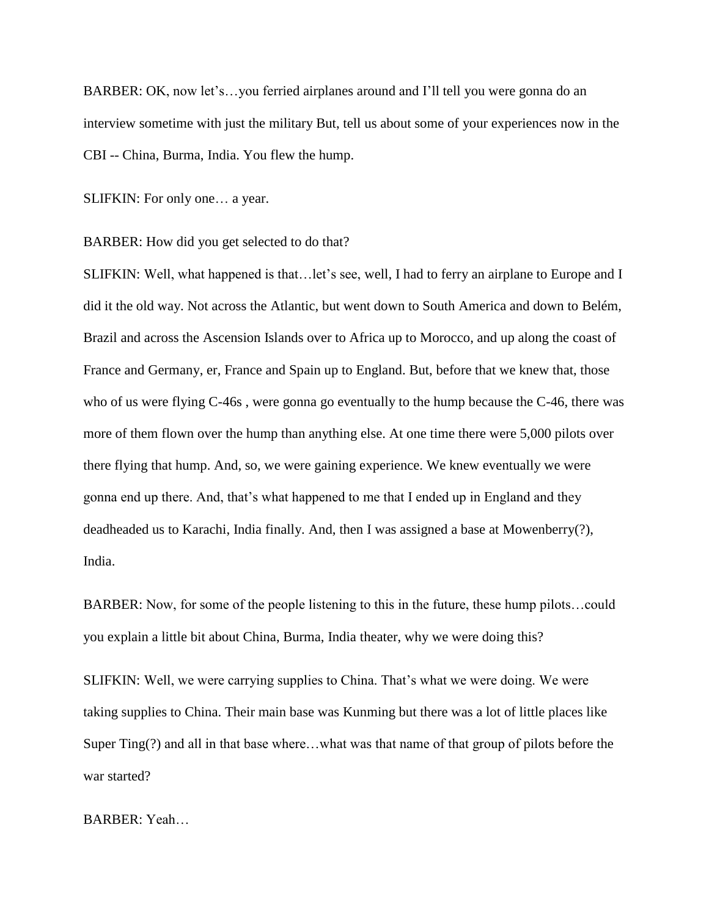BARBER: OK, now let's...you ferried airplanes around and I'll tell you were gonna do an interview sometime with just the military But, tell us about some of your experiences now in the CBI -- China, Burma, India. You flew the hump.

SLIFKIN: For only one… a year.

BARBER: How did you get selected to do that?

SLIFKIN: Well, what happened is that…let's see, well, I had to ferry an airplane to Europe and I did it the old way. Not across the Atlantic, but went down to South America and down to Belém, Brazil and across the Ascension Islands over to Africa up to Morocco, and up along the coast of France and Germany, er, France and Spain up to England. But, before that we knew that, those who of us were flying C-46s, were gonna go eventually to the hump because the C-46, there was more of them flown over the hump than anything else. At one time there were 5,000 pilots over there flying that hump. And, so, we were gaining experience. We knew eventually we were gonna end up there. And, that"s what happened to me that I ended up in England and they deadheaded us to Karachi, India finally. And, then I was assigned a base at Mowenberry(?), India.

BARBER: Now, for some of the people listening to this in the future, these hump pilots…could you explain a little bit about China, Burma, India theater, why we were doing this?

SLIFKIN: Well, we were carrying supplies to China. That's what we were doing. We were taking supplies to China. Their main base was Kunming but there was a lot of little places like Super Ting(?) and all in that base where…what was that name of that group of pilots before the war started?

BARBER: Yeah…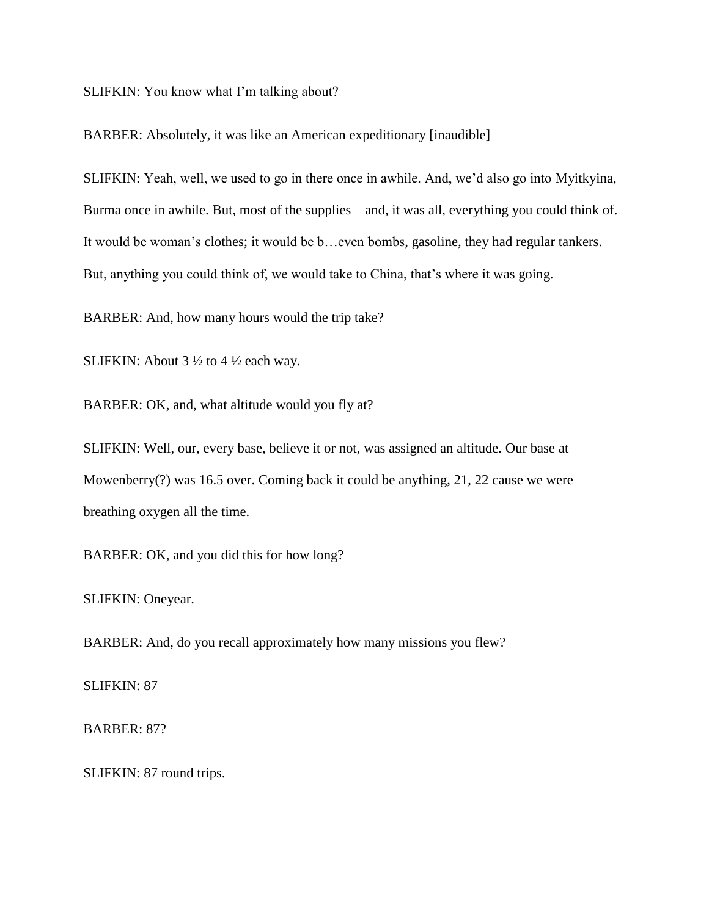SLIFKIN: You know what I'm talking about?

BARBER: Absolutely, it was like an American expeditionary [inaudible]

SLIFKIN: Yeah, well, we used to go in there once in awhile. And, we"d also go into Myitkyina, Burma once in awhile. But, most of the supplies—and, it was all, everything you could think of. It would be woman"s clothes; it would be b…even bombs, gasoline, they had regular tankers. But, anything you could think of, we would take to China, that's where it was going.

BARBER: And, how many hours would the trip take?

SLIFKIN: About 3 ½ to 4 ½ each way.

BARBER: OK, and, what altitude would you fly at?

SLIFKIN: Well, our, every base, believe it or not, was assigned an altitude. Our base at Mowenberry(?) was 16.5 over. Coming back it could be anything, 21, 22 cause we were breathing oxygen all the time.

BARBER: OK, and you did this for how long?

SLIFKIN: Oneyear.

BARBER: And, do you recall approximately how many missions you flew?

SLIFKIN: 87

BARBER: 87?

SLIFKIN: 87 round trips.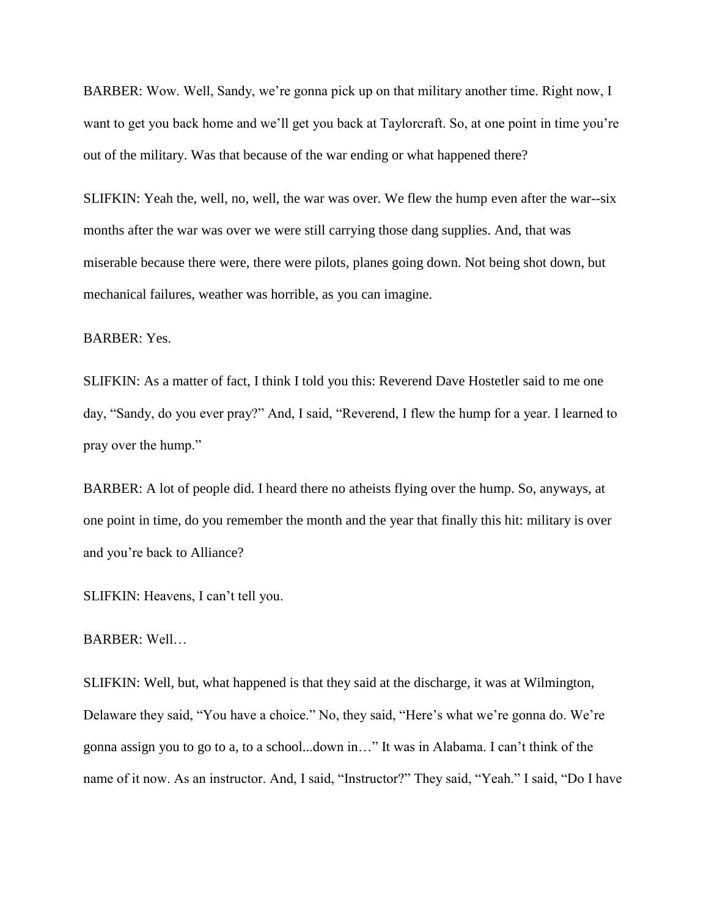BARBER: Wow. Well, Sandy, we're gonna pick up on that military another time. Right now, I want to get you back home and we'll get you back at Taylorcraft. So, at one point in time you're out of the military. Was that because of the war ending or what happened there?

SLIFKIN: Yeah the, well, no, well, the war was over. We flew the hump even after the war--six months after the war was over we were still carrying those dang supplies. And, that was miserable because there were, there were pilots, planes going down. Not being shot down, but mechanical failures, weather was horrible, as you can imagine.

BARBER: Yes.

SLIFKIN: As a matter of fact, I think I told you this: Reverend Dave Hostetler said to me one day, "Sandy, do you ever pray?" And, I said, "Reverend, I flew the hump for a year. I learned to pray over the hump."

BARBER: A lot of people did. I heard there no atheists flying over the hump. So, anyways, at one point in time, do you remember the month and the year that finally this hit: military is over and you"re back to Alliance?

SLIFKIN: Heavens, I can"t tell you.

BARBER: Well…

SLIFKIN: Well, but, what happened is that they said at the discharge, it was at Wilmington, Delaware they said, "You have a choice." No, they said, "Here's what we're gonna do. We're gonna assign you to go to a, to a school...down in…" It was in Alabama. I can"t think of the name of it now. As an instructor. And, I said, "Instructor?" They said, "Yeah." I said, "Do I have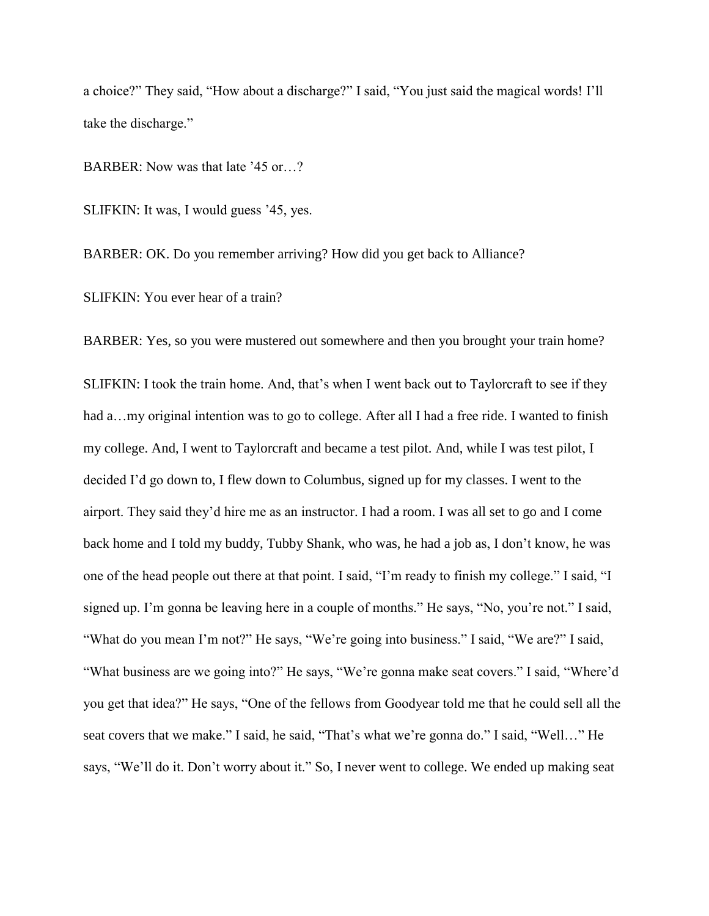a choice?" They said, "How about a discharge?" I said, "You just said the magical words! I"ll take the discharge."

BARBER: Now was that late '45 or...?

SLIFKIN: It was, I would guess "45, yes.

BARBER: OK. Do you remember arriving? How did you get back to Alliance?

SLIFKIN: You ever hear of a train?

BARBER: Yes, so you were mustered out somewhere and then you brought your train home?

SLIFKIN: I took the train home. And, that"s when I went back out to Taylorcraft to see if they had a... my original intention was to go to college. After all I had a free ride. I wanted to finish my college. And, I went to Taylorcraft and became a test pilot. And, while I was test pilot, I decided I"d go down to, I flew down to Columbus, signed up for my classes. I went to the airport. They said they"d hire me as an instructor. I had a room. I was all set to go and I come back home and I told my buddy, Tubby Shank, who was, he had a job as, I don"t know, he was one of the head people out there at that point. I said, "I"m ready to finish my college." I said, "I signed up. I"m gonna be leaving here in a couple of months." He says, "No, you"re not." I said, "What do you mean I"m not?" He says, "We"re going into business." I said, "We are?" I said, "What business are we going into?" He says, "We're gonna make seat covers." I said, "Where'd you get that idea?" He says, "One of the fellows from Goodyear told me that he could sell all the seat covers that we make." I said, he said, "That's what we're gonna do." I said, "Well..." He says, "We'll do it. Don't worry about it." So, I never went to college. We ended up making seat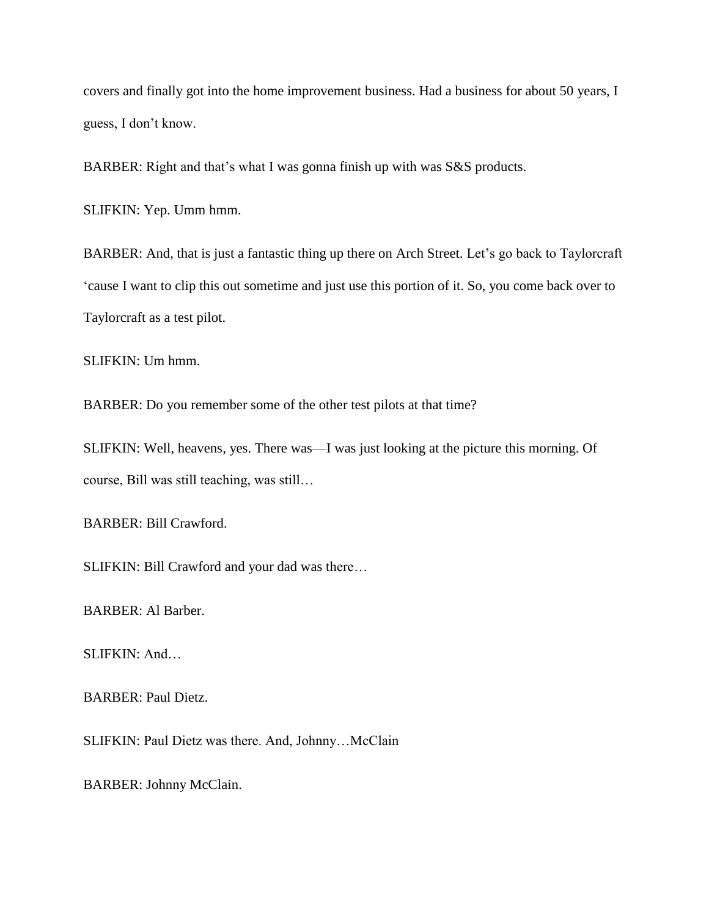covers and finally got into the home improvement business. Had a business for about 50 years, I guess, I don"t know.

BARBER: Right and that"s what I was gonna finish up with was S&S products.

SLIFKIN: Yep. Umm hmm.

BARBER: And, that is just a fantastic thing up there on Arch Street. Let's go back to Taylorcraft "cause I want to clip this out sometime and just use this portion of it. So, you come back over to Taylorcraft as a test pilot.

SLIFKIN: Um hmm.

BARBER: Do you remember some of the other test pilots at that time?

SLIFKIN: Well, heavens, yes. There was—I was just looking at the picture this morning. Of course, Bill was still teaching, was still…

BARBER: Bill Crawford.

SLIFKIN: Bill Crawford and your dad was there…

BARBER: Al Barber.

SLIFKIN: And…

BARBER: Paul Dietz.

SLIFKIN: Paul Dietz was there. And, Johnny…McClain

BARBER: Johnny McClain.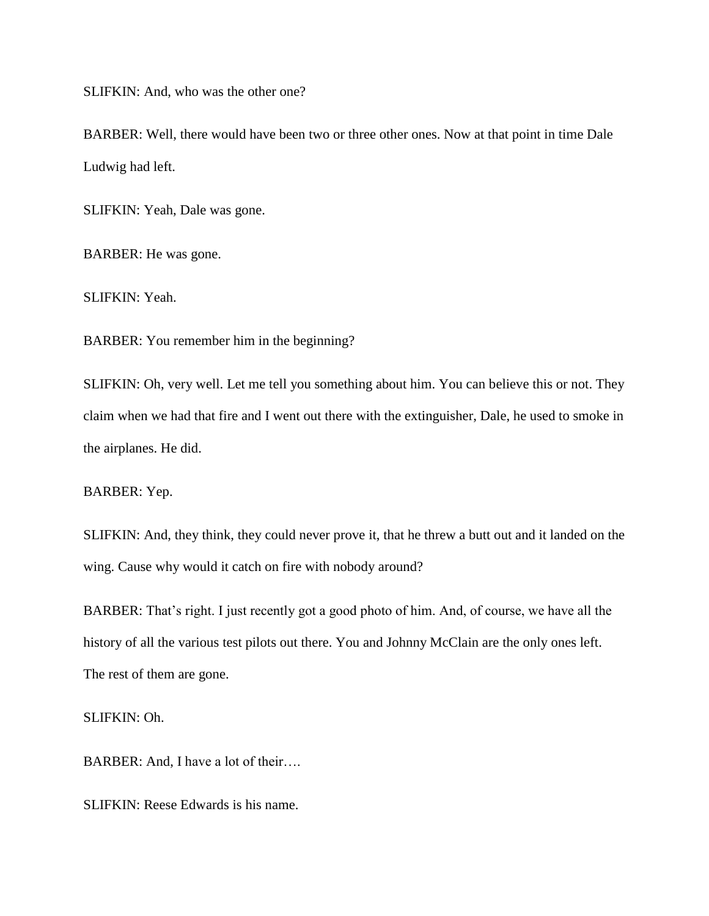SLIFKIN: And, who was the other one?

BARBER: Well, there would have been two or three other ones. Now at that point in time Dale Ludwig had left.

SLIFKIN: Yeah, Dale was gone.

BARBER: He was gone.

SLIFKIN: Yeah.

BARBER: You remember him in the beginning?

SLIFKIN: Oh, very well. Let me tell you something about him. You can believe this or not. They claim when we had that fire and I went out there with the extinguisher, Dale, he used to smoke in the airplanes. He did.

BARBER: Yep.

SLIFKIN: And, they think, they could never prove it, that he threw a butt out and it landed on the wing. Cause why would it catch on fire with nobody around?

BARBER: That's right. I just recently got a good photo of him. And, of course, we have all the history of all the various test pilots out there. You and Johnny McClain are the only ones left. The rest of them are gone.

SLIFKIN: Oh.

BARBER: And, I have a lot of their….

SLIFKIN: Reese Edwards is his name.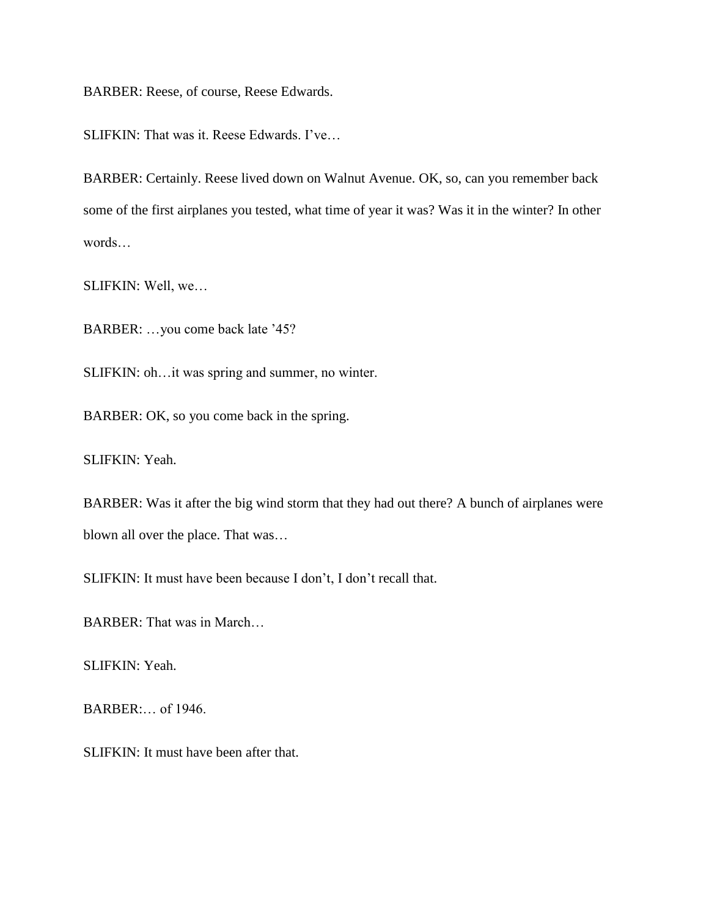BARBER: Reese, of course, Reese Edwards.

SLIFKIN: That was it. Reese Edwards. I've...

BARBER: Certainly. Reese lived down on Walnut Avenue. OK, so, can you remember back some of the first airplanes you tested, what time of year it was? Was it in the winter? In other words…

SLIFKIN: Well, we…

BARBER: …you come back late "45?

SLIFKIN: oh…it was spring and summer, no winter.

BARBER: OK, so you come back in the spring.

SLIFKIN: Yeah.

BARBER: Was it after the big wind storm that they had out there? A bunch of airplanes were blown all over the place. That was…

SLIFKIN: It must have been because I don"t, I don"t recall that.

BARBER: That was in March…

SLIFKIN: Yeah.

BARBER:… of 1946.

SLIFKIN: It must have been after that.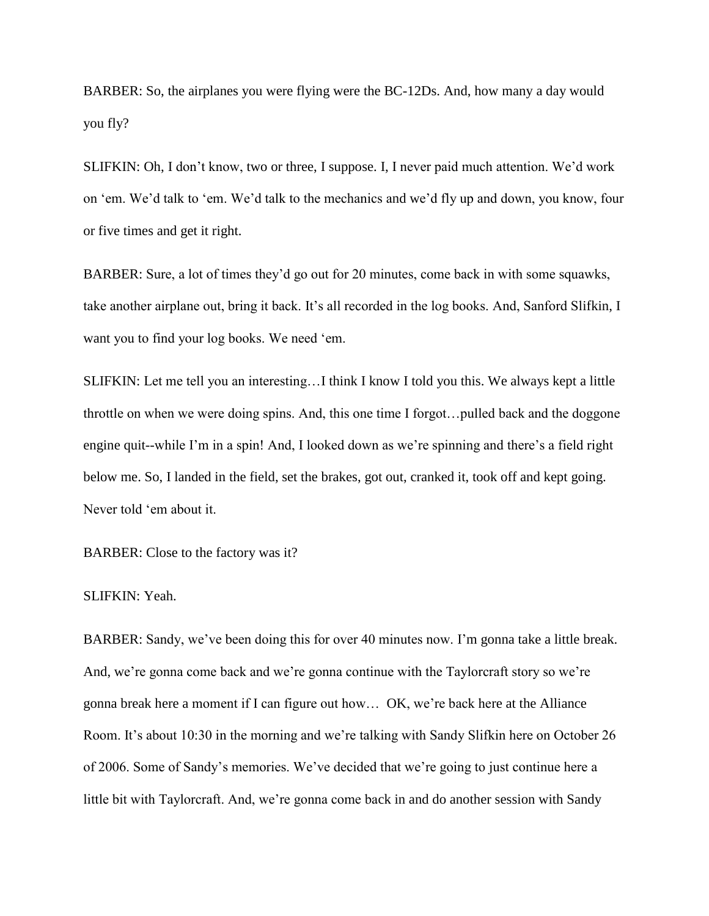BARBER: So, the airplanes you were flying were the BC-12Ds. And, how many a day would you fly?

SLIFKIN: Oh, I don't know, two or three, I suppose. I, I never paid much attention. We'd work on "em. We"d talk to "em. We"d talk to the mechanics and we"d fly up and down, you know, four or five times and get it right.

BARBER: Sure, a lot of times they'd go out for 20 minutes, come back in with some squawks, take another airplane out, bring it back. It's all recorded in the log books. And, Sanford Slifkin, I want you to find your log books. We need "em.

SLIFKIN: Let me tell you an interesting…I think I know I told you this. We always kept a little throttle on when we were doing spins. And, this one time I forgot…pulled back and the doggone engine quit--while I'm in a spin! And, I looked down as we're spinning and there's a field right below me. So, I landed in the field, set the brakes, got out, cranked it, took off and kept going. Never told "em about it.

BARBER: Close to the factory was it?

## SLIFKIN: Yeah.

BARBER: Sandy, we've been doing this for over 40 minutes now. I'm gonna take a little break. And, we're gonna come back and we're gonna continue with the Taylorcraft story so we're gonna break here a moment if I can figure out how… OK, we"re back here at the Alliance Room. It's about 10:30 in the morning and we're talking with Sandy Slifkin here on October 26 of 2006. Some of Sandy"s memories. We"ve decided that we"re going to just continue here a little bit with Taylorcraft. And, we"re gonna come back in and do another session with Sandy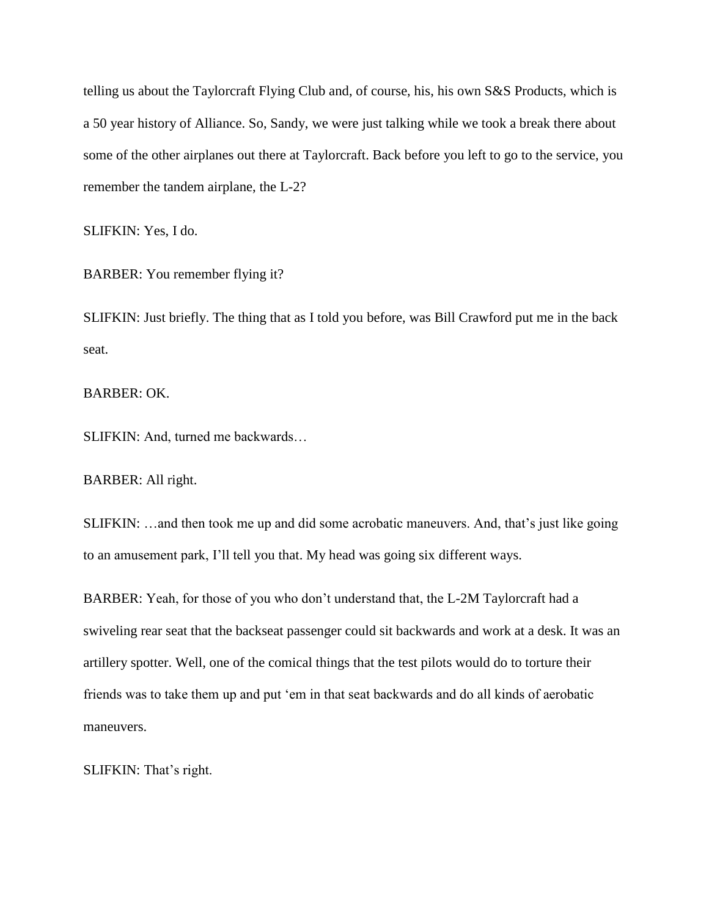telling us about the Taylorcraft Flying Club and, of course, his, his own S&S Products, which is a 50 year history of Alliance. So, Sandy, we were just talking while we took a break there about some of the other airplanes out there at Taylorcraft. Back before you left to go to the service, you remember the tandem airplane, the L-2?

SLIFKIN: Yes, I do.

BARBER: You remember flying it?

SLIFKIN: Just briefly. The thing that as I told you before, was Bill Crawford put me in the back seat.

BARBER: OK.

SLIFKIN: And, turned me backwards…

BARBER: All right.

SLIFKIN: …and then took me up and did some acrobatic maneuvers. And, that"s just like going to an amusement park, I"ll tell you that. My head was going six different ways.

BARBER: Yeah, for those of you who don"t understand that, the L-2M Taylorcraft had a swiveling rear seat that the backseat passenger could sit backwards and work at a desk. It was an artillery spotter. Well, one of the comical things that the test pilots would do to torture their friends was to take them up and put "em in that seat backwards and do all kinds of aerobatic maneuvers.

SLIFKIN: That's right.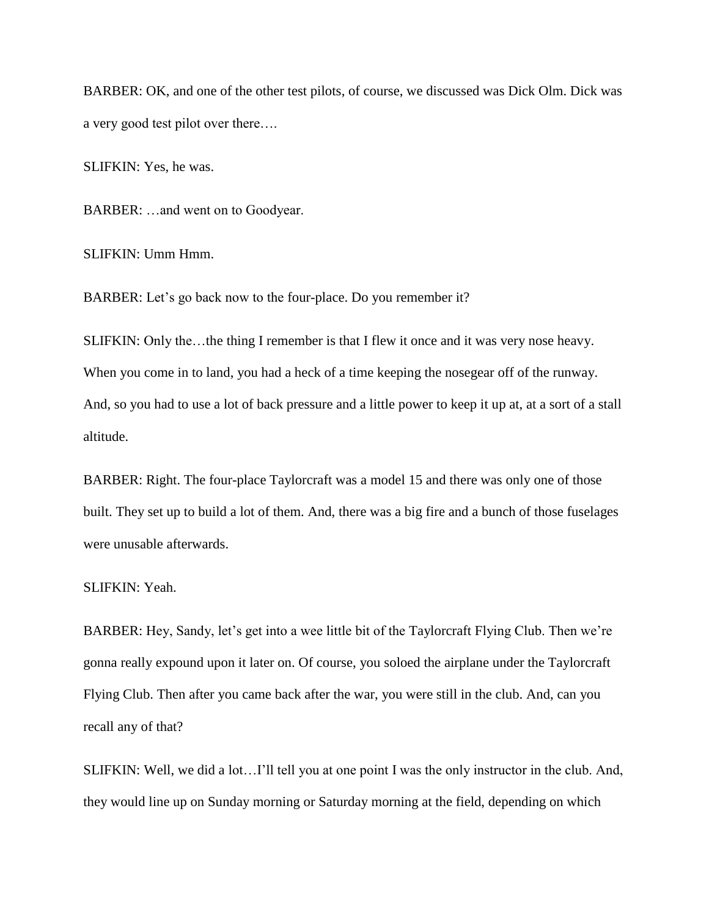BARBER: OK, and one of the other test pilots, of course, we discussed was Dick Olm. Dick was a very good test pilot over there….

SLIFKIN: Yes, he was.

BARBER: …and went on to Goodyear.

SLIFKIN: Umm Hmm.

BARBER: Let's go back now to the four-place. Do you remember it?

SLIFKIN: Only the…the thing I remember is that I flew it once and it was very nose heavy. When you come in to land, you had a heck of a time keeping the nosegear off of the runway. And, so you had to use a lot of back pressure and a little power to keep it up at, at a sort of a stall altitude.

BARBER: Right. The four-place Taylorcraft was a model 15 and there was only one of those built. They set up to build a lot of them. And, there was a big fire and a bunch of those fuselages were unusable afterwards.

### SLIFKIN: Yeah.

BARBER: Hey, Sandy, let's get into a wee little bit of the Taylorcraft Flying Club. Then we're gonna really expound upon it later on. Of course, you soloed the airplane under the Taylorcraft Flying Club. Then after you came back after the war, you were still in the club. And, can you recall any of that?

SLIFKIN: Well, we did a lot…I"ll tell you at one point I was the only instructor in the club. And, they would line up on Sunday morning or Saturday morning at the field, depending on which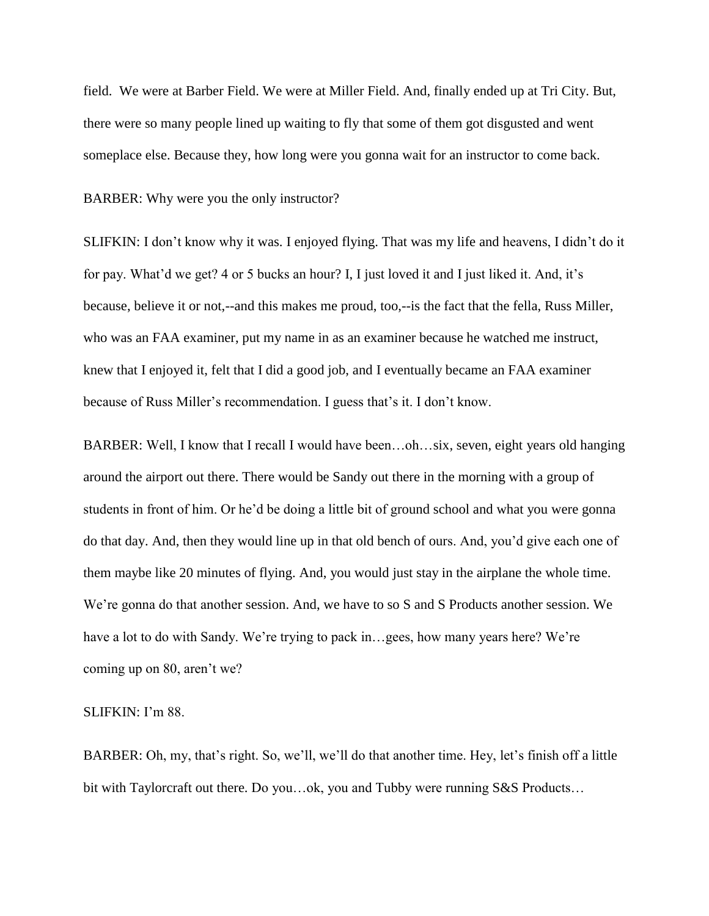field. We were at Barber Field. We were at Miller Field. And, finally ended up at Tri City. But, there were so many people lined up waiting to fly that some of them got disgusted and went someplace else. Because they, how long were you gonna wait for an instructor to come back.

BARBER: Why were you the only instructor?

SLIFKIN: I don"t know why it was. I enjoyed flying. That was my life and heavens, I didn"t do it for pay. What'd we get? 4 or 5 bucks an hour? I, I just loved it and I just liked it. And, it's because, believe it or not,--and this makes me proud, too,--is the fact that the fella, Russ Miller, who was an FAA examiner, put my name in as an examiner because he watched me instruct, knew that I enjoyed it, felt that I did a good job, and I eventually became an FAA examiner because of Russ Miller"s recommendation. I guess that"s it. I don"t know.

BARBER: Well, I know that I recall I would have been…oh…six, seven, eight years old hanging around the airport out there. There would be Sandy out there in the morning with a group of students in front of him. Or he'd be doing a little bit of ground school and what you were gonna do that day. And, then they would line up in that old bench of ours. And, you"d give each one of them maybe like 20 minutes of flying. And, you would just stay in the airplane the whole time. We're gonna do that another session. And, we have to so S and S Products another session. We have a lot to do with Sandy. We're trying to pack in...gees, how many years here? We're coming up on 80, aren"t we?

SLIFKIN: I'm 88.

BARBER: Oh, my, that's right. So, we'll, we'll do that another time. Hey, let's finish off a little bit with Taylorcraft out there. Do you...ok, you and Tubby were running S&S Products...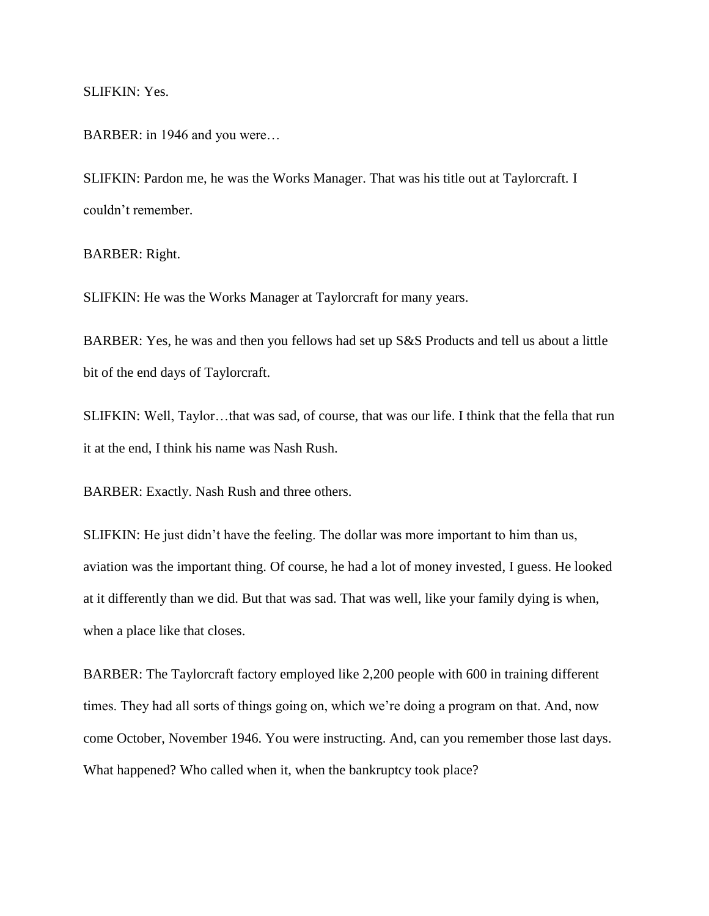SLIFKIN: Yes.

BARBER: in 1946 and you were...

SLIFKIN: Pardon me, he was the Works Manager. That was his title out at Taylorcraft. I couldn"t remember.

BARBER: Right.

SLIFKIN: He was the Works Manager at Taylorcraft for many years.

BARBER: Yes, he was and then you fellows had set up S&S Products and tell us about a little bit of the end days of Taylorcraft.

SLIFKIN: Well, Taylor…that was sad, of course, that was our life. I think that the fella that run it at the end, I think his name was Nash Rush.

BARBER: Exactly. Nash Rush and three others.

SLIFKIN: He just didn"t have the feeling. The dollar was more important to him than us, aviation was the important thing. Of course, he had a lot of money invested, I guess. He looked at it differently than we did. But that was sad. That was well, like your family dying is when, when a place like that closes.

BARBER: The Taylorcraft factory employed like 2,200 people with 600 in training different times. They had all sorts of things going on, which we're doing a program on that. And, now come October, November 1946. You were instructing. And, can you remember those last days. What happened? Who called when it, when the bankruptcy took place?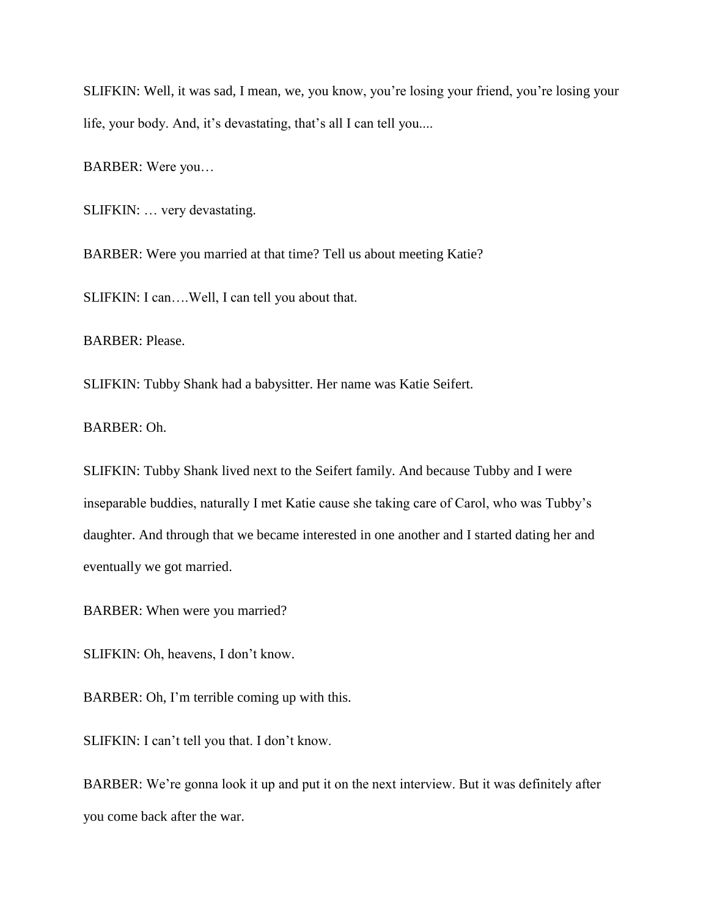SLIFKIN: Well, it was sad, I mean, we, you know, you"re losing your friend, you"re losing your life, your body. And, it's devastating, that's all I can tell you....

BARBER: Were you…

SLIFKIN: … very devastating.

BARBER: Were you married at that time? Tell us about meeting Katie?

SLIFKIN: I can….Well, I can tell you about that.

BARBER: Please.

SLIFKIN: Tubby Shank had a babysitter. Her name was Katie Seifert.

BARBER: Oh.

SLIFKIN: Tubby Shank lived next to the Seifert family. And because Tubby and I were inseparable buddies, naturally I met Katie cause she taking care of Carol, who was Tubby"s daughter. And through that we became interested in one another and I started dating her and eventually we got married.

BARBER: When were you married?

SLIFKIN: Oh, heavens, I don"t know.

BARBER: Oh, I'm terrible coming up with this.

SLIFKIN: I can't tell you that. I don't know.

BARBER: We're gonna look it up and put it on the next interview. But it was definitely after you come back after the war.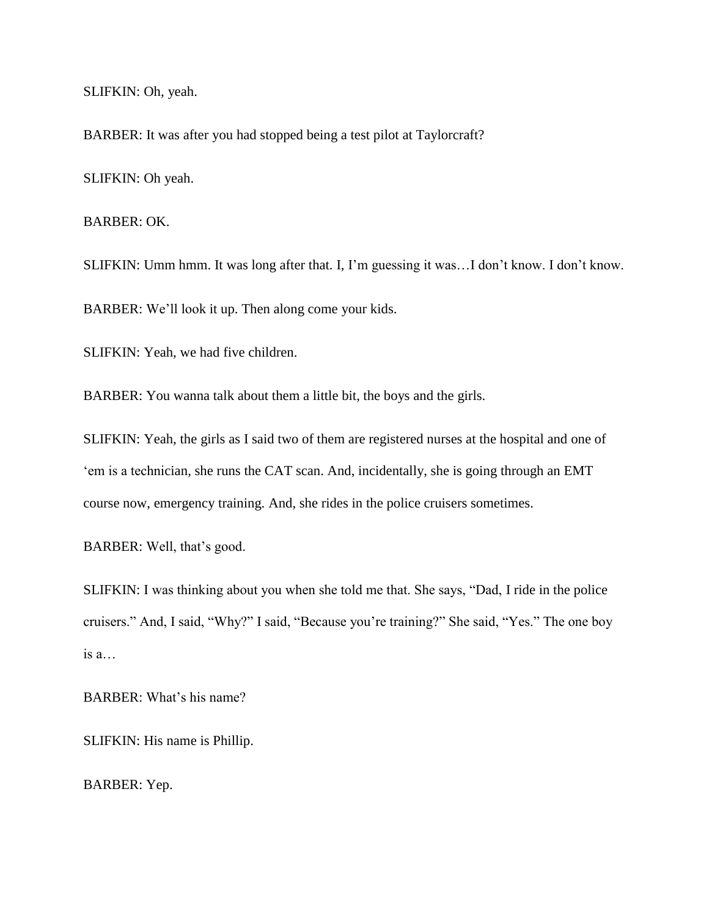SLIFKIN: Oh, yeah.

BARBER: It was after you had stopped being a test pilot at Taylorcraft?

SLIFKIN: Oh yeah.

BARBER: OK.

SLIFKIN: Umm hmm. It was long after that. I, I"m guessing it was…I don"t know. I don"t know.

BARBER: We"ll look it up. Then along come your kids.

SLIFKIN: Yeah, we had five children.

BARBER: You wanna talk about them a little bit, the boys and the girls.

SLIFKIN: Yeah, the girls as I said two of them are registered nurses at the hospital and one of "em is a technician, she runs the CAT scan. And, incidentally, she is going through an EMT course now, emergency training. And, she rides in the police cruisers sometimes.

BARBER: Well, that's good.

SLIFKIN: I was thinking about you when she told me that. She says, "Dad, I ride in the police cruisers." And, I said, "Why?" I said, "Because you"re training?" She said, "Yes." The one boy is a…

BARBER: What's his name?

SLIFKIN: His name is Phillip.

BARBER: Yep.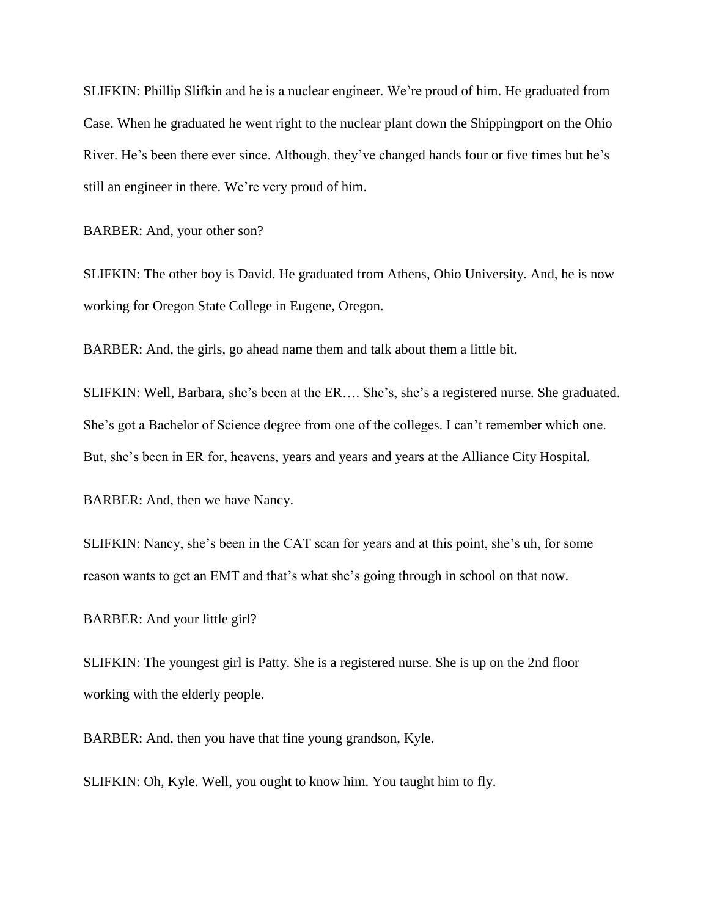SLIFKIN: Phillip Slifkin and he is a nuclear engineer. We"re proud of him. He graduated from Case. When he graduated he went right to the nuclear plant down the Shippingport on the Ohio River. He's been there ever since. Although, they've changed hands four or five times but he's still an engineer in there. We"re very proud of him.

BARBER: And, your other son?

SLIFKIN: The other boy is David. He graduated from Athens, Ohio University. And, he is now working for Oregon State College in Eugene, Oregon.

BARBER: And, the girls, go ahead name them and talk about them a little bit.

SLIFKIN: Well, Barbara, she's been at the ER.... She's, she's a registered nurse. She graduated. She's got a Bachelor of Science degree from one of the colleges. I can't remember which one. But, she"s been in ER for, heavens, years and years and years at the Alliance City Hospital.

BARBER: And, then we have Nancy.

SLIFKIN: Nancy, she's been in the CAT scan for years and at this point, she's uh, for some reason wants to get an EMT and that's what she's going through in school on that now.

BARBER: And your little girl?

SLIFKIN: The youngest girl is Patty. She is a registered nurse. She is up on the 2nd floor working with the elderly people.

BARBER: And, then you have that fine young grandson, Kyle.

SLIFKIN: Oh, Kyle. Well, you ought to know him. You taught him to fly.